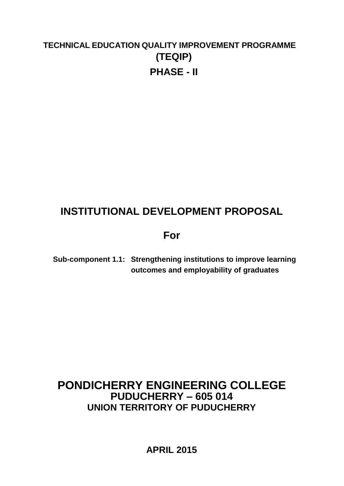# **TECHNICAL EDUCATION QUALITY IMPROVEMENT PROGRAMME (TEQIP) PHASE - II**

# **INSTITUTIONAL DEVELOPMENT PROPOSAL**

# **For**

**Sub-component 1.1: Strengthening institutions to improve learning outcomes and employability of graduates**

# **PONDICHERRY ENGINEERING COLLEGE PUDUCHERRY – 605 014 UNION TERRITORY OF PUDUCHERRY**

**APRIL 2015**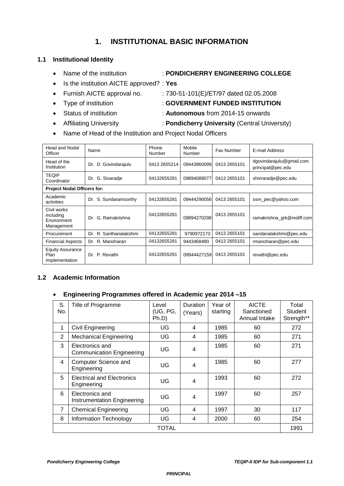## **1. INSTITUTIONAL BASIC INFORMATION**

### **1.1 Institutional Identity**

- Name of the institution : **PONDICHERRY ENGINEERING COLLEGE**
- Is the institution AICTE approved? : **Yes**
- Furnish AICTE approval no.  $\qquad : 730-51-101(E)/ET/97$  dated 02.05.2008
- Type of institution : **GOVERNMENT FUNDED INSTITUTION**
- Status of institution : **Autonomous** from 2014-15 onwards
- Affiliating University : **Pondicherry University** (Central University)
- Name of Head of the Institution and Project Nodal Officers

| Head and Nodal<br>Officer                             | Name                      | Phone<br>Number | Mobile<br>Number | Fax Number   | E-mail Address                                |
|-------------------------------------------------------|---------------------------|-----------------|------------------|--------------|-----------------------------------------------|
| Head of the<br>Institution                            | D. Govindarajulu<br>Dr.   | 0413 2655214    | 09443860099      | 0413 2655101 | dgovindarajulu@gmail.com<br>principal@pec.edu |
| <b>TEQIP</b><br>Coordinator                           | G. Sivaradie<br>Dr.       | 04132655281     | 09894088077      | 0413 2655101 | shivraradje@pec.edu                           |
| <b>Project Nodal Officers for:</b>                    |                           |                 |                  |              |                                               |
| Academic<br>activities                                | S. Sundaramoorthy<br>Dr.  | 04132655281     | 09444290056      | 0413 2655101 | ssm_pec@yahoo.com                             |
| Civil works<br>including<br>Environment<br>Management | G. Ramakrishna<br>Dr.     | 04132655281     | 09894270298      | 0413 2655101 | ramakrishna grk@rediff.com                    |
| Procurement                                           | R. Santhanalakshmi<br>Dr. | 04132655281     | 9790972173       | 0413 2655101 | sandanalakshmi@pec.edu                        |
| <b>Financial Aspects</b>                              | Dr. R. Manoharan          | 04132655281     | 9443468480       | 0413 2655101 | rmanoharan@pec.edu                            |
| <b>Equity Assurance</b><br>Plan<br>Implementation     | P. Revathi<br>Dr.         | 04132655281     | 09944427159      | 0413 2655101 | revathi@pec.edu                               |

### **1.2 Academic Information**

#### **Engineering Programmes offered in Academic year 2014 –15**

| S.<br>No.      | Title of Programme                                  | Level<br>(UG, PG,<br>Ph.D | Duration<br>(Years) | Year of<br>starting | <b>AICTE</b><br>Sanctioned<br>Annual Intake | Total<br><b>Student</b><br>Strength** |  |  |  |
|----------------|-----------------------------------------------------|---------------------------|---------------------|---------------------|---------------------------------------------|---------------------------------------|--|--|--|
| 1              | <b>Civil Engineering</b>                            | UG                        | 4                   | 1985                | 60                                          | 272                                   |  |  |  |
| 2              | <b>Mechanical Engineering</b>                       | UG                        | 4                   | 1985                | 60                                          | 271                                   |  |  |  |
| 3              | Electronics and<br><b>Communication Engineering</b> | UG                        | 4                   | 1985                | 60                                          | 271                                   |  |  |  |
| 4              | Computer Science and<br>Engineering                 | UG                        | $\overline{4}$      | 1985                | 60                                          | 277                                   |  |  |  |
| 5              | <b>Electrical and Electronics</b><br>Engineering    | UG                        | $\overline{4}$      | 1993                | 60                                          | 272                                   |  |  |  |
| 6              | Electronics and<br>Instrumentation Engineering      | UG                        | 4                   | 1997                | 60                                          | 257                                   |  |  |  |
| $\overline{7}$ | <b>Chemical Engineering</b>                         | UG                        | 4                   | 1997                | 30                                          | 117                                   |  |  |  |
| 8              | Information Technology                              | UG                        | 4                   | 2000                | 60                                          | 254                                   |  |  |  |
| TOTAL          |                                                     |                           |                     |                     |                                             |                                       |  |  |  |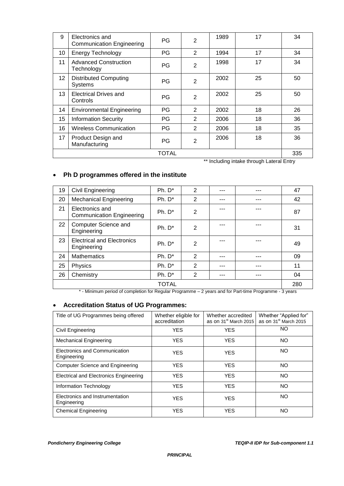| 9  | Electronics and<br><b>Communication Engineering</b> | PG        | $\overline{2}$ | 1989 | 17            | 34                      |
|----|-----------------------------------------------------|-----------|----------------|------|---------------|-------------------------|
| 10 | <b>Energy Technology</b>                            | PG        | 2              | 1994 | 17            | 34                      |
| 11 | <b>Advanced Construction</b><br>Technology          | <b>PG</b> | $\overline{2}$ | 1998 | 17            | 34                      |
| 12 | <b>Distributed Computing</b><br><b>Systems</b>      | PG        | $\overline{2}$ | 2002 | 25            | 50                      |
| 13 | <b>Electrical Drives and</b><br>Controls            | PG        | $\overline{2}$ | 2002 | 25            | 50                      |
| 14 | <b>Environmental Engineering</b>                    | PG        | $\overline{2}$ | 2002 | 18            | 26                      |
| 15 | <b>Information Security</b>                         | PG        | 2              | 2006 | 18            | 36                      |
| 16 | <b>Wireless Communication</b>                       | PG        | 2              | 2006 | 18            | 35                      |
| 17 | Product Design and<br>Manufacturing                 | PG        | $\overline{2}$ | 2006 | 18            | 36                      |
|    |                                                     | TOTAL     |                | .    | $\sim$ $\sim$ | 335<br>$\cdot$ $ \cdot$ |

\*\* Including intake through Lateral Entry

### **Ph D programmes offered in the institute**

| 19 | Civil Engineering                                   | $Ph. D*$     | 2              | --- | 47  |
|----|-----------------------------------------------------|--------------|----------------|-----|-----|
| 20 | <b>Mechanical Engineering</b>                       | $Ph. D^*$    | $\overline{2}$ | --- | 42  |
| 21 | Electronics and<br><b>Communication Engineering</b> | $Ph. D*$     | 2              |     | 87  |
| 22 | Computer Science and<br>Engineering                 | $Ph. D^*$    | 2              | --- | 31  |
| 23 | <b>Electrical and Electronics</b><br>Engineering    | $Ph. D*$     | $\overline{2}$ |     | 49  |
| 24 | <b>Mathematics</b>                                  | $Ph. D*$     | 2              | --- | 09  |
| 25 | Physics                                             | $Ph. D*$     | 2              | --- | 11  |
| 26 | Chemistry                                           | $Ph. D*$     | $\overline{2}$ | --- | 04  |
|    |                                                     | <b>TOTAL</b> |                |     | 280 |

\* - Minimum period of completion for Regular Programme – 2 years and for Part-time Programme - 3 years

#### **Accreditation Status of UG Programmes:**

| Title of UG Programmes being offered           | Whether eligible for<br>accreditation | Whether accredited<br>as on 31 <sup>st</sup> March 2015 | Whether "Applied for"<br>as on 31 <sup>st</sup> March 2015 |  |  |
|------------------------------------------------|---------------------------------------|---------------------------------------------------------|------------------------------------------------------------|--|--|
| Civil Engineering                              | <b>YES</b>                            | <b>YES</b>                                              | <b>NO</b>                                                  |  |  |
| <b>Mechanical Engineering</b>                  | <b>YES</b>                            | <b>YES</b>                                              | <b>NO</b>                                                  |  |  |
| Electronics and Communication<br>Engineering   | <b>YES</b>                            | <b>YES</b>                                              | <b>NO</b>                                                  |  |  |
| <b>Computer Science and Engineering</b>        | YES                                   | <b>YES</b>                                              | NO                                                         |  |  |
| <b>Electrical and Electronics Engineering</b>  | <b>YES</b>                            | <b>YES</b>                                              | <b>NO</b>                                                  |  |  |
| Information Technology                         | <b>YES</b>                            | <b>YES</b>                                              | <b>NO</b>                                                  |  |  |
| Electronics and Instrumentation<br>Engineering | <b>YES</b>                            | <b>YES</b>                                              | <b>NO</b>                                                  |  |  |
| <b>Chemical Engineering</b>                    | <b>YES</b>                            | <b>YES</b>                                              | ΝO                                                         |  |  |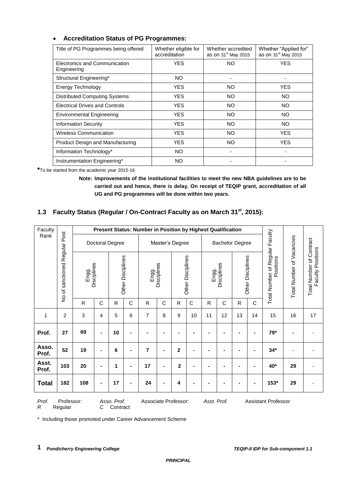| Title of PG Programmes being offered         | Whether eligible for<br>accreditation | Whether accredited<br>as on 31 <sup>st</sup> May 2015 | Whether "Applied for"<br>as on 31 <sup>st</sup> May 2015 |  |  |
|----------------------------------------------|---------------------------------------|-------------------------------------------------------|----------------------------------------------------------|--|--|
| Electronics and Communication<br>Engineering | <b>YES</b>                            | NO.                                                   | <b>YES</b>                                               |  |  |
| Structural Engineering*                      | <b>NO</b>                             |                                                       |                                                          |  |  |
| Energy Technology                            | <b>YES</b>                            | NO.                                                   | <b>YES</b>                                               |  |  |
| <b>Distributed Computing Systems</b>         | <b>YES</b>                            | NO.                                                   | NO.                                                      |  |  |
| <b>Electrical Drives and Controls</b>        | YES.                                  | NO.                                                   | NO.                                                      |  |  |
| <b>Environmental Engineering</b>             | <b>YES</b>                            | NO.                                                   | NO.                                                      |  |  |
| <b>Information Security</b>                  | <b>YES</b>                            | NO.                                                   | NO.                                                      |  |  |
| <b>Wireless Communication</b>                | <b>YES</b>                            | NO.                                                   | <b>YES</b>                                               |  |  |
| Product Design and Manufacturing             | YES.                                  | NO.                                                   | YES                                                      |  |  |
| Information Technology*                      | NO.                                   |                                                       |                                                          |  |  |
| Instrumentation Engineering*                 | NO                                    |                                                       |                                                          |  |  |

#### **Accreditation Status of PG Programmes:**

**\***To be started from the academic year 2015-16

**Note: Improvements of the institutional facilities to meet the new NBA guidelines are to be carried out and hence, there is delay. On receipt of TEQIP grant, accreditation of all UG and PG programmes will be done within two years.** 

### **1.3 Faculty Status (Regular / On-Contract Faculty as on March 31st , 2015):**

| Faculty                                                                                                                                  |                     |              | Present Status: Number in Position by Highest Qualification |                 |                   |                |                 |                |                   |                        |             |              |                   |                                                       |                           |                                               |
|------------------------------------------------------------------------------------------------------------------------------------------|---------------------|--------------|-------------------------------------------------------------|-----------------|-------------------|----------------|-----------------|----------------|-------------------|------------------------|-------------|--------------|-------------------|-------------------------------------------------------|---------------------------|-----------------------------------------------|
| Rank                                                                                                                                     | Regular Post        |              |                                                             | Doctoral Degree |                   |                | Master's Degree |                |                   | <b>Bachelor Degree</b> |             |              |                   |                                                       |                           |                                               |
|                                                                                                                                          | sanctioned<br>No of | Engg.        | Disciplines                                                 |                 | Other Disciplines | Engg.          | Disciplines     |                | Other Disciplines | Engg.                  | Disciplines |              | Other Disciplines | er of Regular Faculty<br>Positions<br>Total Number of | Total Number of Vacancies | Total Number of Contract<br>Faculty Positions |
|                                                                                                                                          |                     | $\mathsf{R}$ | C                                                           | $\mathsf{R}$    | C                 | $\mathsf{R}$   | C               | ${\sf R}$      | $\mathbf C$       | R                      | C           | $\mathsf{R}$ | $\mathbf C$       |                                                       |                           |                                               |
| 1                                                                                                                                        | $\overline{c}$      | 3            | 4                                                           | 5               | 6                 | 7              | 8               | 9              | 10                | 11                     | 12          | 13           | 14                | 15                                                    | 16                        | 17                                            |
| Prof.                                                                                                                                    | 27                  | 69           | -                                                           | 10              |                   |                |                 |                |                   |                        |             |              |                   | 79*                                                   |                           |                                               |
| Asso.<br>Prof.                                                                                                                           | 52                  | 19           | $\blacksquare$                                              | 6               | ۰                 | $\overline{7}$ |                 | $\mathbf{2}$   |                   |                        |             |              |                   | $34*$                                                 |                           |                                               |
| Asst.<br>Prof.                                                                                                                           | 103                 | 20           | -                                                           | 1               |                   | 17             |                 | $\overline{2}$ |                   |                        |             |              |                   | 40*                                                   | 29                        |                                               |
| <b>Total</b>                                                                                                                             | 182                 | 108          | Ē.                                                          | 17              |                   | 24             |                 | 4              |                   |                        |             |              |                   | 153*                                                  | 29                        |                                               |
| Prof.<br>Professor:<br>Asso. Prof.<br>Associate Professor:<br>Asst. Prof.<br><b>Assistant Professor</b><br>R<br>Regular<br>C<br>Contract |                     |              |                                                             |                 |                   |                |                 |                |                   |                        |             |              |                   |                                                       |                           |                                               |

\* Including those promoted under Career Advancement Scheme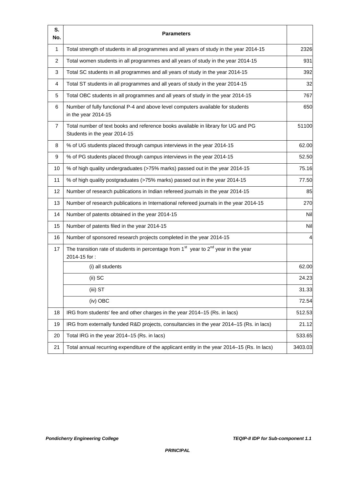| S.<br>No.      | <b>Parameters</b>                                                                                                 |         |
|----------------|-------------------------------------------------------------------------------------------------------------------|---------|
| $\mathbf{1}$   | Total strength of students in all programmes and all years of study in the year 2014-15                           | 2326    |
| 2              | Total women students in all programmes and all years of study in the year 2014-15                                 | 931     |
| 3              | Total SC students in all programmes and all years of study in the year 2014-15                                    | 392     |
| 4              | Total ST students in all programmes and all years of study in the year 2014-15                                    | 32      |
| 5              | Total OBC students in all programmes and all years of study in the year 2014-15                                   | 767     |
| 6              | Number of fully functional P-4 and above level computers available for students<br>in the year 2014-15            | 650     |
| $\overline{7}$ | Total number of text books and reference books available in library for UG and PG<br>Students in the year 2014-15 | 51100   |
| 8              | % of UG students placed through campus interviews in the year 2014-15                                             | 62.00   |
| 9              | % of PG students placed through campus interviews in the year 2014-15                                             | 52.50   |
| 10             | % of high quality undergraduates (>75% marks) passed out in the year 2014-15                                      | 75.16   |
| 11             | % of high quality postgraduates (>75% marks) passed out in the year 2014-15                                       | 77.50   |
| 12             | Number of research publications in Indian refereed journals in the year 2014-15                                   | 85      |
| 13             | Number of research publications in International refereed journals in the year 2014-15                            | 270     |
| 14             | Number of patents obtained in the year 2014-15                                                                    | Nil     |
| 15             | Number of patents filed in the year 2014-15                                                                       | Nil     |
| 16             | Number of sponsored research projects completed in the year 2014-15                                               | 4       |
| 17             | The transition rate of students in percentage from $1st$ year to $2nd$ year in the year<br>2014-15 for:           |         |
|                | (i) all students                                                                                                  | 62.00   |
|                | (ii) SC                                                                                                           | 24.23   |
|                | (iii) ST                                                                                                          | 31.33   |
|                | (iv) OBC                                                                                                          | 72.54   |
| 18             | IRG from students' fee and other charges in the year 2014–15 (Rs. in lacs)                                        | 512.53  |
| 19             | IRG from externally funded R&D projects, consultancies in the year 2014-15 (Rs. in lacs)                          | 21.12   |
| 20             | Total IRG in the year 2014-15 (Rs. in lacs)                                                                       | 533.65  |
| 21             | Total annual recurring expenditure of the applicant entity in the year 2014–15 (Rs. In lacs)                      | 3403.03 |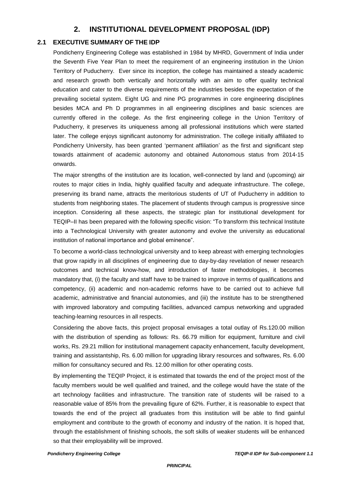### **2. INSTITUTIONAL DEVELOPMENT PROPOSAL (IDP)**

#### **2.1 EXECUTIVE SUMMARY OF THE IDP**

Pondicherry Engineering College was established in 1984 by MHRD, Government of India under the Seventh Five Year Plan to meet the requirement of an engineering institution in the Union Territory of Puducherry. Ever since its inception, the college has maintained a steady academic and research growth both vertically and horizontally with an aim to offer quality technical education and cater to the diverse requirements of the industries besides the expectation of the prevailing societal system. Eight UG and nine PG programmes in core engineering disciplines besides MCA and Ph D programmes in all engineering disciplines and basic sciences are currently offered in the college. As the first engineering college in the Union Territory of Puducherry, it preserves its uniqueness among all professional institutions which were started later. The college enjoys significant autonomy for administration. The college initially affiliated to Pondicherry University, has been granted 'permanent affiliation' as the first and significant step towards attainment of academic autonomy and obtained Autonomous status from 2014-15 onwards.

The major strengths of the institution are its location, well-connected by land and (upcoming) air routes to major cities in India, highly qualified faculty and adequate infrastructure. The college, preserving its brand name, attracts the meritorious students of UT of Puducherry in addition to students from neighboring states. The placement of students through campus is progressive since inception. Considering all these aspects, the strategic plan for institutional development for TEQIP–II has been prepared with the following specific vision: "To transform this technical Institute into a Technological University with greater autonomy and evolve the university as educational institution of national importance and global eminence".

To become a world-class technological university and to keep abreast with emerging technologies that grow rapidly in all disciplines of engineering due to day-by-day revelation of newer research outcomes and technical know-how, and introduction of faster methodologies, it becomes mandatory that, (i) the faculty and staff have to be trained to improve in terms of qualifications and competency, (ii) academic and non-academic reforms have to be carried out to achieve full academic, administrative and financial autonomies, and (iii) the institute has to be strengthened with improved laboratory and computing facilities, advanced campus networking and upgraded teaching-learning resources in all respects.

Considering the above facts, this project proposal envisages a total outlay of Rs.120.00 million with the distribution of spending as follows: Rs. 66.79 million for equipment, furniture and civil works, Rs. 29.21 million for institutional management capacity enhancement, faculty development, training and assistantship, Rs. 6.00 million for upgrading library resources and softwares, Rs. 6.00 million for consultancy secured and Rs. 12.00 million for other operating costs.

By implementing the TEQIP Project, it is estimated that towards the end of the project most of the faculty members would be well qualified and trained, and the college would have the state of the art technology facilities and infrastructure. The transition rate of students will be raised to a reasonable value of 85% from the prevailing figure of 62%. Further, it is reasonable to expect that towards the end of the project all graduates from this institution will be able to find gainful employment and contribute to the growth of economy and industry of the nation. It is hoped that, through the establishment of finishing schools, the soft skills of weaker students will be enhanced so that their employability will be improved.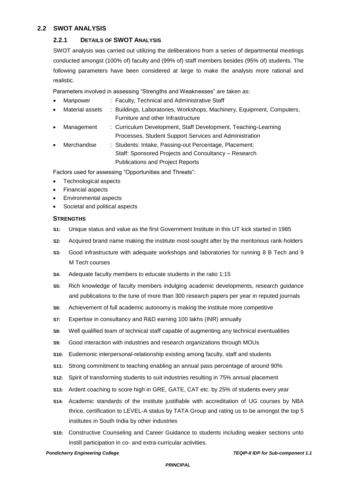#### **2.2 SWOT ANALYSIS**

#### **2.2.1 DETAILS OF SWOT ANALYSIS**

SWOT analysis was carried out utilizing the deliberations from a series of departmental meetings conducted amongst (100% of) faculty and (99% of) staff members besides (95% of) students. The following parameters have been considered at large to make the analysis more rational and realistic.

Parameters involved in assessing "Strengths and Weaknesses" are taken as:

- Manpower : Faculty, Technical and Administrative Staff
- Material assets : Buildings, Laboratories, Workshops, Machinery, Equipment, Computers, Furniture and other Infrastructure
- Management : Curriculum Development, Staff Development, Teaching-Learning Processes, Student Support Services and Administration
- Merchandise : Students: Intake, Passing-out Percentage, Placement; Staff: Sponsored Projects and Consultancy – Research Publications and Project Reports

Factors used for assessing "Opportunities and Threats":

- Technological aspects
- Financial aspects
- Environmental aspects
- Societal and political aspects

#### **STRENGTHS**

- **S1:** Unique status and value as the first Government Institute in this UT kick started in 1985
- **S2:** Acquired brand name making the institute most-sought after by the meritorious rank-holders
- **S3:** Good infrastructure with adequate workshops and laboratories for running 8 B Tech and 9 M Tech courses
- **S4:** Adequate faculty members to educate students in the ratio 1:15
- **S5:** Rich knowledge of faculty members indulging academic developments, research guidance and publications to the tune of more than 300 research papers per year in reputed journals
- **S6:** Achievement of full academic autonomy is making the institute more competitive
- **S7:** Expertise in consultancy and R&D earning 100 lakhs (INR) annually
- **S8:** Well qualified team of technical staff capable of augmenting any technical eventualities
- **S9:** Good interaction with industries and research organizations through MOUs
- **S10:** Eudemonic interpersonal-relationship existing among faculty, staff and students
- **S11:** Strong commitment to teaching enabling an annual pass percentage of around 90%
- **S12:** Spirit of transforming students to suit industries resulting in 75% annual placement
- **S13:** Ardent coaching to score high in GRE, GATE, CAT etc. by 25% of students every year
- **S14:** Academic standards of the institute justifiable with accreditation of UG courses by NBA thrice, certification to LEVEL-A status by TATA Group and rating us to be amongst the top 5 institutes in South India by other industries
- **S15:** Constructive Counseling and Career Guidance to students including weaker sections unto instill participation in co- and extra-curricular activities.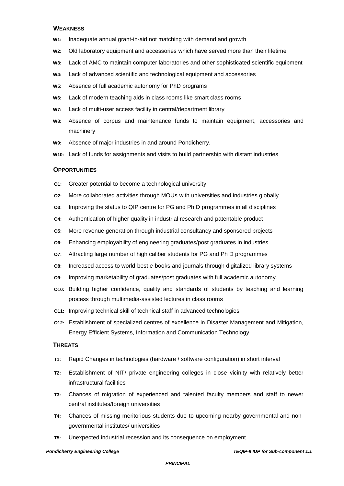#### **WEAKNESS**

- **W1:** Inadequate annual grant-in-aid not matching with demand and growth
- **W2:** Old laboratory equipment and accessories which have served more than their lifetime
- **W3:** Lack of AMC to maintain computer laboratories and other sophisticated scientific equipment
- **W4:** Lack of advanced scientific and technological equipment and accessories
- **W5:** Absence of full academic autonomy for PhD programs
- **W6:** Lack of modern teaching aids in class rooms like smart class rooms
- **W7:** Lack of multi-user access facility in central/department library
- **W8:** Absence of corpus and maintenance funds to maintain equipment, accessories and machinery
- **W9:** Absence of major industries in and around Pondicherry.
- **W10:** Lack of funds for assignments and visits to build partnership with distant industries

#### **OPPORTUNITIES**

- **O1:** Greater potential to become a technological university
- **O2:** More collaborated activities through MOUs with universities and industries globally
- **O3:** Improving the status to QIP centre for PG and Ph D programmes in all disciplines
- **O4:** Authentication of higher quality in industrial research and patentable product
- **O5:** More revenue generation through industrial consultancy and sponsored projects
- **O6:** Enhancing employability of engineering graduates/post graduates in industries
- **O7:** Attracting large number of high caliber students for PG and Ph D programmes
- **O8:** Increased access to world-best e-books and journals through digitalized library systems
- **O9:** Improving marketability of graduates/post graduates with full academic autonomy.
- **O10:** Building higher confidence, quality and standards of students by teaching and learning process through multimedia-assisted lectures in class rooms
- **O11:** Improving technical skill of technical staff in advanced technologies
- **O12:** Establishment of specialized centres of excellence in Disaster Management and Mitigation, Energy Efficient Systems, Information and Communication Technology

#### **THREATS**

- **T1:** Rapid Changes in technologies (hardware / software configuration) in short interval
- **T2:** Establishment of NIT/ private engineering colleges in close vicinity with relatively better infrastructural facilities
- **T3:** Chances of migration of experienced and talented faculty members and staff to newer central institutes/foreign universities
- **T4:** Chances of missing meritorious students due to upcoming nearby governmental and nongovernmental institutes/ universities
- **T5:** Unexpected industrial recession and its consequence on employment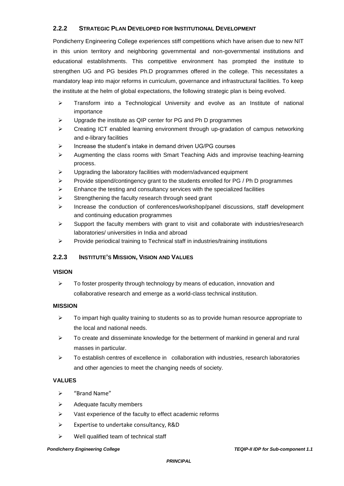#### **2.2.2 STRATEGIC PLAN DEVELOPED FOR INSTITUTIONAL DEVELOPMENT**

Pondicherry Engineering College experiences stiff competitions which have arisen due to new NIT in this union territory and neighboring governmental and non-governmental institutions and educational establishments. This competitive environment has prompted the institute to strengthen UG and PG besides Ph.D programmes offered in the college. This necessitates a mandatory leap into major reforms in curriculum, governance and infrastructural facilities. To keep the institute at the helm of global expectations, the following strategic plan is being evolved.

- $\triangleright$  Transform into a Technological University and evolve as an Institute of national importance
- $\triangleright$  Upgrade the institute as QIP center for PG and Ph D programmes
- Creating ICT enabled learning environment through up-gradation of campus networking and e-library facilities
- $\triangleright$  Increase the student's intake in demand driven UG/PG courses
- $\triangleright$  Augmenting the class rooms with Smart Teaching Aids and improvise teaching-learning process.
- $\triangleright$  Upgrading the laboratory facilities with modern/advanced equipment
- $\triangleright$  Provide stipend/contingency grant to the students enrolled for PG / Ph D programmes
- $\triangleright$  Enhance the testing and consultancy services with the specialized facilities
- $\triangleright$  Strengthening the faculty research through seed grant
- $\triangleright$  Increase the conduction of conferences/workshop/panel discussions, staff development and continuing education programmes
- $\triangleright$  Support the faculty members with grant to visit and collaborate with industries/research laboratories/ universities in India and abroad
- $\triangleright$  Provide periodical training to Technical staff in industries/training institutions

#### **2.2.3 INSTITUTE'S MISSION, VISION AND VALUES**

#### **VISION**

 $\triangleright$  To foster prosperity through technology by means of education, innovation and collaborative research and emerge as a world-class technical institution.

#### **MISSION**

- $\triangleright$  To impart high quality training to students so as to provide human resource appropriate to the local and national needs.
- $\triangleright$  To create and disseminate knowledge for the betterment of mankind in general and rural masses in particular.
- $\triangleright$  To establish centres of excellence in collaboration with industries, research laboratories and other agencies to meet the changing needs of society.

#### **VALUES**

- "Brand Name"
- $\triangleright$  Adequate faculty members
- $\triangleright$  Vast experience of the faculty to effect academic reforms
- Expertise to undertake consultancy, R&D
- $\triangleright$  Well qualified team of technical staff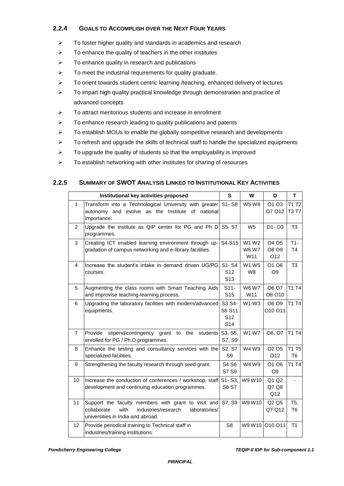#### **2.2.4 GOALS TO ACCOMPLISH OVER THE NEXT FOUR YEARS**

- $\triangleright$  To foster higher quality and standards in academics and research
- $\triangleright$  To enhance the quality of teachers in the other institutes
- $\triangleright$  To enhance quality in research and publications
- $\triangleright$  To meet the industrial requirements for quality graduate.
- $\triangleright$  To orient towards student centric learning /teaching, enhanced delivery of lectures
- $\triangleright$  To impart high quality practical knowledge through demonstration and practice of advanced concepts
- $\triangleright$  To attract meritorious students and increase in enrollment
- $\triangleright$  To enhance research leading to quality publications and patents
- $\triangleright$  To establish MOUs to enable the globally competitive research and developments
- $\triangleright$  To refresh and upgrade the skills of technical staff to handle the specialized equipments
- $\triangleright$  To upgrade the quality of students so that the employability is improved
- $\triangleright$  To establish networking with other institutes for sharing of resources

#### **2.2.5 SUMMARY OF SWOT ANALYSIS LINKED TO INSTITUTIONAL KEY ACTIVITIES**

|                 | Institutional key activities proposed                                                                                                                   | S                                                      | W                                        | O                                                | T                                  |
|-----------------|---------------------------------------------------------------------------------------------------------------------------------------------------------|--------------------------------------------------------|------------------------------------------|--------------------------------------------------|------------------------------------|
| $\mathbf{1}$    | Transform into a Technological University with greater<br>autonomy and evolve as the Institute of<br>national<br>importance.                            | S1-S8                                                  | <b>W5 W8</b>                             | O <sub>1</sub> O <sub>3</sub><br>O7 012          | T1 T2<br><b>T3 T7</b>              |
| $\overline{2}$  | Upgrade the institute as QIP center for PG and Ph D<br>programmes.                                                                                      | S5-S7                                                  | W <sub>5</sub>                           | $O1 - O3$                                        | T <sub>3</sub>                     |
| 3               | Creating ICT enabled learning environment through up-<br>gradation of campus networking and e-library facilities.                                       | S4-S15                                                 | W1 W2<br><b>W6 W7</b><br>W <sub>11</sub> | O <sub>4</sub> O <sub>5</sub><br>O8 O9<br>O12    | $T1-$<br>T <sub>4</sub>            |
| 4               | Increase the student's intake in demand driven UG/PG<br>courses.                                                                                        | S1-S4<br>S <sub>12</sub><br>S <sub>13</sub>            | W1 W5<br>W8                              | O <sub>1</sub> O <sub>6</sub><br>O <sub>9</sub>  | T <sub>3</sub>                     |
| 5               | Augmenting the class rooms with Smart Teaching Aids<br>and improvise teaching-learning process.                                                         | $S11-$<br>S <sub>15</sub>                              | <b>W6 W7</b><br>W11                      | O6 O7<br>O8 O10                                  | <b>T1 T4</b>                       |
| 6               | Upgrading the laboratory facilities with modern/advanced<br>equipments.                                                                                 | S3 S4-<br>S6 S11<br>S <sub>12</sub><br>S <sub>14</sub> | $W1-W3$                                  | O6 O9<br>O10 O11                                 | <b>T1 T4</b>                       |
| 7               | Provide<br>stipend/contingency grant<br>the<br>to<br>students<br>enrolled for PG / Ph.D programmes.                                                     | S3, S5,<br>S7, S9                                      | <b>W1 W7</b>                             | O6, O7                                           | <b>T1 T4</b>                       |
| 8               | Enhance the testing and consultancy services with the<br>specialized facilities.                                                                        | S <sub>2</sub> , S <sub>7</sub><br>S9                  | W4 W9                                    | O <sub>2</sub> O <sub>5</sub><br>O <sub>12</sub> | <b>T1 T5</b><br>T6                 |
| 9               | Strengthening the faculty research through seed grant.                                                                                                  | S4 S6<br>S7 S9                                         | W4 W9                                    | O1 O6<br>O <sub>9</sub>                          | <b>T1 T4</b>                       |
| 10 <sup>°</sup> | Increase the conduction of conferences / workshop, staff<br>development and continuing education programmes.                                            | $S1 - S3$ ,<br>S6 S7                                   | W9 W10                                   | Q1 Q2<br>Q7 Q8<br>Q12                            |                                    |
| 11              | Support the faculty members with grant to visit and<br>collaborate<br>with<br>industries/research<br>laboratories/<br>universities in India and abroad. | S7, S9                                                 | W9 W10                                   | Q2 Q5<br>Q7 Q12                                  | T <sub>5</sub> ,<br>T <sub>6</sub> |
| 12 <sup>2</sup> | Provide periodical training to Technical staff in<br>industries/training institutions.                                                                  | S <sub>8</sub>                                         |                                          | W9 W10 010 011                                   | T1                                 |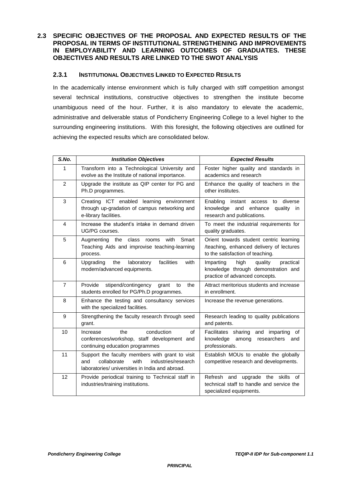#### **2.3 SPECIFIC OBJECTIVES OF THE PROPOSAL AND EXPECTED RESULTS OF THE PROPOSAL IN TERMS OF INSTITUTIONAL STRENGTHENING AND IMPROVEMENTS IN EMPLOYABILITY AND LEARNING OUTCOMES OF GRADUATES. THESE OBJECTIVES AND RESULTS ARE LINKED TO THE SWOT ANALYSIS**

#### **2.3.1 INSTITUTIONAL OBJECTIVES LINKED TO EXPECTED RESULTS**

In the academically intense environment which is fully charged with stiff competition amongst several technical institutions, constructive objectives to strengthen the institute become unambiguous need of the hour. Further, it is also mandatory to elevate the academic, administrative and deliverable status of Pondicherry Engineering College to a level higher to the surrounding engineering institutions. With this foresight, the following objectives are outlined for achieving the expected results which are consolidated below.

| S.No.          | <b>Institution Objectives</b>                                                                                                                           | <b>Expected Results</b>                                                                                                 |
|----------------|---------------------------------------------------------------------------------------------------------------------------------------------------------|-------------------------------------------------------------------------------------------------------------------------|
| 1              | Transform into a Technological University and<br>evolve as the Institute of national importance.                                                        | Foster higher quality and standards in<br>academics and research                                                        |
| $\overline{2}$ | Upgrade the institute as QIP center for PG and<br>Ph.D programmes.                                                                                      | Enhance the quality of teachers in the<br>other institutes.                                                             |
| 3              | Creating ICT enabled learning environment<br>through up-gradation of campus networking and<br>e-library facilities.                                     | Enabling instant access to diverse<br>knowledge and enhance<br>quality in<br>research and publications.                 |
| 4              | Increase the student's intake in demand driven<br>UG/PG courses.                                                                                        | To meet the industrial requirements for<br>quality graduates.                                                           |
| 5              | Augmenting the class<br>with<br>Smart<br>rooms<br>Teaching Aids and improvise teaching-learning<br>process.                                             | Orient towards student centric learning<br>/teaching, enhanced delivery of lectures<br>to the satisfaction of teaching. |
| 6              | Upgrading<br>the<br>laboratory<br>facilities<br>with<br>modern/advanced equipments.                                                                     | Imparting<br>high<br>practical<br>quality<br>knowledge through demonstration and<br>practice of advanced concepts.      |
| $\overline{7}$ | Provide<br>stipend/contingency<br>the<br>grant<br>to<br>students enrolled for PG/Ph.D programmes.                                                       | Attract meritorious students and increase<br>in enrollment.                                                             |
| 8              | Enhance the testing and consultancy services<br>with the specialized facilities.                                                                        | Increase the revenue generations.                                                                                       |
| 9              | Strengthening the faculty research through seed<br>grant.                                                                                               | Research leading to quality publications<br>and patents.                                                                |
| 10             | conduction<br>Increase<br>the<br>of<br>conferences/workshop, staff development and<br>continuing education programmes                                   | Facilitates sharing and imparting of<br>knowledge<br>among<br>researchers<br>and<br>professionals.                      |
| 11             | Support the faculty members with grant to visit<br>collaborate<br>with<br>industries/research<br>and<br>laboratories/ universities in India and abroad. | Establish MOUs to enable the globally<br>competitive research and developments.                                         |
| 12             | Provide periodical training to Technical staff in<br>industries/training institutions.                                                                  | Refresh and upgrade the skills of<br>technical staff to handle and service the<br>specialized equipments.               |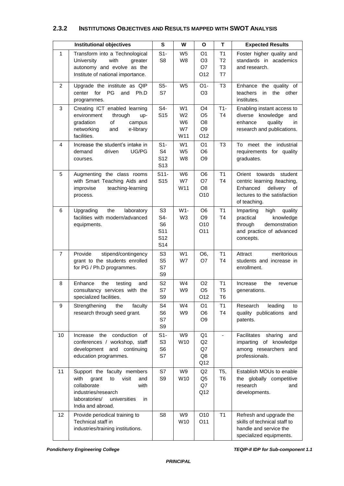#### **2.3.2 INSTITUTIONS OBJECTIVES AND RESULTS MAPPED WITH SWOT ANALYSIS**

|                 | <b>Institutional objectives</b>                                                                                                                                               | S                                                                                                | W                                                   | O                                                               | <b>Expected Results</b>                            |                                                                                                                                        |  |  |
|-----------------|-------------------------------------------------------------------------------------------------------------------------------------------------------------------------------|--------------------------------------------------------------------------------------------------|-----------------------------------------------------|-----------------------------------------------------------------|----------------------------------------------------|----------------------------------------------------------------------------------------------------------------------------------------|--|--|
| 1               | Transform into a Technological<br>with<br>University<br>greater<br>autonomy and evolve as the<br>Institute of national importance.                                            | $S1 -$<br>S <sub>8</sub>                                                                         | W <sub>5</sub><br>W8                                | O <sub>1</sub><br>O <sub>3</sub><br>O7<br>O12                   | T1<br>T <sub>2</sub><br>T <sub>3</sub><br>T7       | Foster higher quality and<br>standards in academics<br>and research.                                                                   |  |  |
| $\overline{2}$  | Upgrade the institute as QIP<br>PG<br>for<br>and Ph.D<br>center<br>programmes.                                                                                                | S5-<br>S7                                                                                        | W <sub>5</sub>                                      | $O1 -$<br>O <sub>3</sub>                                        | T <sub>3</sub>                                     | Enhance the quality of<br>teachers<br>in<br>the<br>other<br>institutes.                                                                |  |  |
| 3               | Creating ICT enabled learning<br>through<br>environment<br>up-<br>gradation<br>of<br>campus<br>networking<br>and<br>e-library<br>facilities.                                  | S4-<br>S <sub>15</sub>                                                                           | W1<br>W <sub>2</sub><br>W <sub>6</sub><br>W7<br>W11 | O <sub>4</sub><br>O <sub>5</sub><br>O8<br>O <sub>9</sub><br>O12 | $T1-$<br>T4                                        | Enabling instant access to<br>diverse knowledge<br>and<br>enhance<br>quality<br>in<br>research and publications.                       |  |  |
| 4               | Increase the student's intake in<br>demand<br>driven<br>UG/PG<br>courses.                                                                                                     | $S1 -$<br>S <sub>4</sub><br>S <sub>12</sub><br>S <sub>13</sub>                                   | W1<br>W <sub>5</sub><br>W8                          | O <sub>1</sub><br>O <sub>6</sub><br>O <sub>9</sub>              | T <sub>3</sub>                                     | To meet the industrial<br>requirements for quality<br>graduates.                                                                       |  |  |
| 5               | Augmenting the class rooms<br>with Smart Teaching Aids and<br>teaching-learning<br>improvise<br>process.                                                                      | $S11-$<br>S <sub>15</sub>                                                                        | W <sub>6</sub><br>W7<br>W11                         | O <sub>6</sub><br>O7<br>O <sub>8</sub><br>O10                   | T1<br>T4                                           | Orient towards<br>student<br>centric learning /teaching,<br>Enhanced<br>delivery<br>of<br>lectures to the satisfaction<br>of teaching. |  |  |
| 6               | Upgrading<br>the<br>laboratory<br>facilities with modern/advanced<br>equipments.                                                                                              | S <sub>3</sub><br>S4-<br>S <sub>6</sub><br>S <sub>11</sub><br>S <sub>12</sub><br>S <sub>14</sub> | $W1-$<br>W <sub>3</sub>                             | O <sub>6</sub><br>O <sub>9</sub><br>O10<br>O11                  | T1<br>T <sub>4</sub>                               | Imparting<br>high<br>quality<br>practical<br>knowledge<br>through<br>demonstration<br>and practice of advanced<br>concepts.            |  |  |
| $\overline{7}$  | Provide<br>stipend/contingency<br>grant to the students enrolled<br>for PG / Ph.D programmes.                                                                                 | S <sub>3</sub><br>S <sub>5</sub><br>S7<br>S9                                                     | W1<br>W7                                            | O6,<br>O7                                                       | T1<br>T4                                           | Attract<br>meritorious<br>students and increase in<br>enrollment.                                                                      |  |  |
| 8               | Enhance<br>the<br>testing<br>and<br>consultancy services with the<br>specialized facilities.                                                                                  | S <sub>2</sub><br>S7<br>S9                                                                       | W4<br>W9                                            | O <sub>2</sub><br>O <sub>5</sub><br>O12                         | T <sub>1</sub><br>T <sub>5</sub><br>T <sub>6</sub> | Increase<br>the<br>revenue<br>generations.                                                                                             |  |  |
| 9               | Strengthening<br>faculty<br>the<br>research through seed grant.                                                                                                               | S <sub>4</sub><br>S <sub>6</sub><br>S7<br>S9                                                     | W4<br>W9                                            | O1<br>O <sub>6</sub><br>O <sub>9</sub>                          | T1<br>T4                                           | Research<br>leading<br>to<br>quality publications<br>and<br>patents.                                                                   |  |  |
| 10              | Increase the<br>conduction<br>οf<br>conferences / workshop, staff<br>development and continuing<br>education programmes.                                                      | $S1 -$<br>S <sub>3</sub><br>S <sub>6</sub><br>S7                                                 | W9<br>W10                                           | Q1<br>Q <sub>2</sub><br>Q7<br>Q8<br>Q12                         |                                                    | <b>Facilitates</b><br>sharing<br>and<br>imparting of knowledge<br>among researchers and<br>professionals.                              |  |  |
| 11              | Support the faculty members<br>with<br>grant<br>visit<br>to<br>and<br>collaborate<br>with<br>industries/research<br>laboratories/<br>universities<br>in.<br>India and abroad. | S7<br>S9                                                                                         | W9<br>W10                                           | Q2<br>Q <sub>5</sub><br>Q7<br>Q12                               | T <sub>5</sub> ,<br>T <sub>6</sub>                 | Establish MOUs to enable<br>the globally competitive<br>research<br>and<br>developments.                                               |  |  |
| 12 <sub>2</sub> | Provide periodical training to<br>Technical staff in<br>industries/training institutions.                                                                                     | S <sub>8</sub>                                                                                   | W9<br>W10                                           | O10<br>O11                                                      | T <sub>1</sub>                                     | Refresh and upgrade the<br>skills of technical staff to<br>handle and service the<br>specialized equipments.                           |  |  |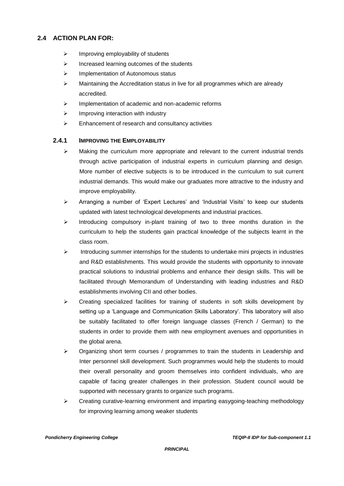### **2.4 ACTION PLAN FOR:**

- $\triangleright$  Improving employability of students
- $\triangleright$  Increased learning outcomes of the students
- > Implementation of Autonomous status
- $\triangleright$  Maintaining the Accreditation status in live for all programmes which are already accredited.
- $\triangleright$  Implementation of academic and non-academic reforms
- $\triangleright$  Improving interaction with industry
- $\triangleright$  Enhancement of research and consultancy activities

#### **2.4.1 IMPROVING THE EMPLOYABILITY**

- $\triangleright$  Making the curriculum more appropriate and relevant to the current industrial trends through active participation of industrial experts in curriculum planning and design. More number of elective subjects is to be introduced in the curriculum to suit current industrial demands. This would make our graduates more attractive to the industry and improve employability.
- $\triangleright$  Arranging a number of 'Expert Lectures' and 'Industrial Visits' to keep our students updated with latest technological developments and industrial practices.
- $\triangleright$  Introducing compulsory in-plant training of two to three months duration in the curriculum to help the students gain practical knowledge of the subjects learnt in the class room.
- $\triangleright$  Introducing summer internships for the students to undertake mini projects in industries and R&D establishments. This would provide the students with opportunity to innovate practical solutions to industrial problems and enhance their design skills. This will be facilitated through Memorandum of Understanding with leading industries and R&D establishments involving CII and other bodies.
- $\triangleright$  Creating specialized facilities for training of students in soft skills development by setting up a 'Language and Communication Skills Laboratory'. This laboratory will also be suitably facilitated to offer foreign language classes (French / German) to the students in order to provide them with new employment avenues and opportunities in the global arena.
- $\triangleright$  Organizing short term courses / programmes to train the students in Leadership and Inter personnel skill development. Such programmes would help the students to mould their overall personality and groom themselves into confident individuals, who are capable of facing greater challenges in their profession. Student council would be supported with necessary grants to organize such programs.
- $\triangleright$  Creating curative-learning environment and imparting easygoing-teaching methodology for improving learning among weaker students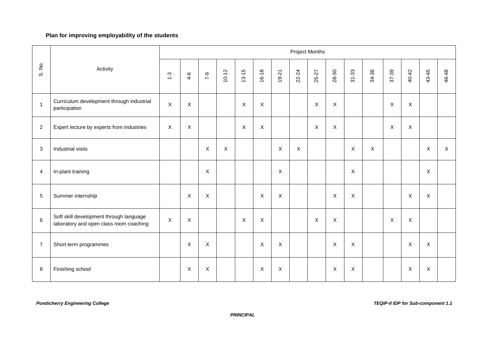### **Plan for improving employability of the students**

|                |                                                                                    |               |                           |                |              |                           |                |                           |              | Project Months |                |                |              |                           |             |                           |              |
|----------------|------------------------------------------------------------------------------------|---------------|---------------------------|----------------|--------------|---------------------------|----------------|---------------------------|--------------|----------------|----------------|----------------|--------------|---------------------------|-------------|---------------------------|--------------|
| S. No.         | Activity                                                                           | $\frac{3}{1}$ | $4 - 6$                   | $7 - 9$        | $10 - 12$    | $13 - 15$                 | $16 - 18$      | $19 - 21$                 | 22-24        | 25-27          | 28-30          | $31 - 33$      | 34-36        | 37-39                     | 40-42       | 43-45                     | 46-48        |
| $\mathbf{1}$   | Curriculum development through industrial<br>participation                         | $\mathsf X$   | $\boldsymbol{\mathsf{X}}$ |                |              | X                         | $\pmb{\times}$ |                           |              | $\mathsf X$    | $\mathsf X$    |                |              | $\pmb{\times}$            | $\mathsf X$ |                           |              |
| $\overline{2}$ | Expert lecture by experts from industries                                          | $\mathsf X$   | $\mathsf X$               |                |              | $\boldsymbol{\mathsf{X}}$ | $\mathsf X$    |                           |              | $\mathsf X$    | $\mathsf X$    |                |              | $\boldsymbol{\mathsf{X}}$ | X           |                           |              |
| 3              | Industrial visits                                                                  |               |                           | $\mathsf X$    | $\mathsf{X}$ |                           |                | $\times$                  | $\mathsf{X}$ |                |                | $\mathsf X$    | $\mathsf{X}$ |                           |             | $\times$                  | $\mathsf{X}$ |
| $\overline{4}$ | In-plant training                                                                  |               |                           | $\pmb{\times}$ |              |                           |                | $\boldsymbol{\mathsf{X}}$ |              |                |                | $\pmb{\times}$ |              |                           |             | $\mathsf X$               |              |
| 5              | Summer internship                                                                  |               | $\boldsymbol{\mathsf{X}}$ | $\mathsf X$    |              |                           | $\pmb{\times}$ | $\mathsf X$               |              |                | $\pmb{\times}$ | $\sf X$        |              |                           | $\sf X$     | $\pmb{\times}$            |              |
| $\,6\,$        | Soft skill development through language<br>laboratory and open class room coaching | X             | $\boldsymbol{X}$          |                |              | $\times$                  | X              |                           |              | $\pmb{\times}$ | $\sf X$        |                |              | $\pmb{\times}$            | X           |                           |              |
| $\overline{7}$ | Short-term programmes                                                              |               | $\boldsymbol{\mathsf{X}}$ | $\mathsf X$    |              |                           | $\pmb{\times}$ | $\boldsymbol{\mathsf{X}}$ |              |                | $\pmb{\times}$ | $\mathsf X$    |              |                           | $\mathsf X$ | $\mathsf X$               |              |
| 8              | Finishing school                                                                   |               | X                         | X              |              |                           | $\mathsf X$    | $\boldsymbol{\mathsf{X}}$ |              |                | $\mathsf X$    | X              |              |                           | Χ           | $\boldsymbol{\mathsf{X}}$ |              |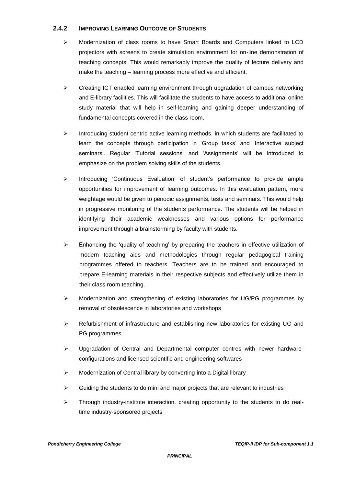#### **2.4.2 IMPROVING LEARNING OUTCOME OF STUDENTS**

- Modernization of class rooms to have Smart Boards and Computers linked to LCD projectors with screens to create simulation environment for on-line demonstration of teaching concepts. This would remarkably improve the quality of lecture delivery and make the teaching – learning process more effective and efficient.
- Creating ICT enabled learning environment through upgradation of campus networking and E-library facilities. This will facilitate the students to have access to additional online study material that will help in self-learning and gaining deeper understanding of fundamental concepts covered in the class room.
- $\triangleright$  Introducing student centric active learning methods, in which students are facilitated to learn the concepts through participation in 'Group tasks' and 'Interactive subject seminars'. Regular 'Tutorial sessions' and 'Assignments' will be introduced to emphasize on the problem solving skills of the students.
- $\triangleright$  Introducing 'Continuous Evaluation' of student's performance to provide ample opportunities for improvement of learning outcomes. In this evaluation pattern, more weightage would be given to periodic assignments, tests and seminars. This would help in progressive monitoring of the students performance. The students will be helped in identifying their academic weaknesses and various options for performance improvement through a brainstorming by faculty with students.
- $\triangleright$  Enhancing the 'quality of teaching' by preparing the teachers in effective utilization of modern teaching aids and methodologies through regular pedagogical training programmes offered to teachers. Teachers are to be trained and encouraged to prepare E-learning materials in their respective subjects and effectively utilize them in their class room teaching.
- $\triangleright$  Modernization and strengthening of existing laboratories for UG/PG programmes by removal of obsolescence in laboratories and workshops
- $\triangleright$  Refurbishment of infrastructure and establishing new laboratories for existing UG and PG programmes
- $\triangleright$  Upgradation of Central and Departmental computer centres with newer hardwareconfigurations and licensed scientific and engineering softwares
- $\triangleright$  Modernization of Central library by converting into a Digital library
- $\triangleright$  Guiding the students to do mini and major projects that are relevant to industries
- $\triangleright$  Through industry-institute interaction, creating opportunity to the students to do realtime industry-sponsored projects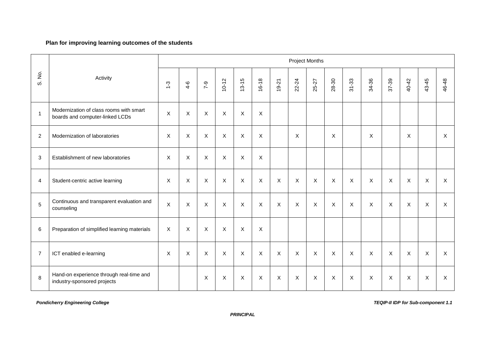#### **Plan for improving learning outcomes of the students**

|                |                                                                            |                |                           |                  |                |                           |                           |              |              | <b>Project Months</b> |              |           |                           |                           |                |                |              |
|----------------|----------------------------------------------------------------------------|----------------|---------------------------|------------------|----------------|---------------------------|---------------------------|--------------|--------------|-----------------------|--------------|-----------|---------------------------|---------------------------|----------------|----------------|--------------|
| S. No.         | Activity                                                                   | $\frac{3}{2}$  | $4 - 6$                   | $6 - 2$          | $10 - 12$      | $13 - 15$                 | $16 - 18$                 | $19 - 21$    | 22-24        | 25-27                 | 28-30        | $31 - 33$ | 34-36                     | 37-39                     | 40-42          | 43-45          | 46-48        |
| $\overline{1}$ | Modernization of class rooms with smart<br>boards and computer-linked LCDs | $\mathsf{X}$   | $\boldsymbol{\mathsf{X}}$ | $\mathsf{X}$     | $\mathsf{X}$   | $\boldsymbol{\mathsf{X}}$ | $\mathsf{X}$              |              |              |                       |              |           |                           |                           |                |                |              |
| $\overline{2}$ | Modernization of laboratories                                              | X              | $\boldsymbol{\mathsf{X}}$ | $\mathsf X$      | $\mathsf X$    | $\boldsymbol{\mathsf{X}}$ | $\boldsymbol{\mathsf{X}}$ |              | X            |                       | X            |           | X                         |                           | $\sf X$        |                | $\mathsf{X}$ |
| 3              | Establishment of new laboratories                                          | $\mathsf{X}$   | $\boldsymbol{\mathsf{X}}$ | $\mathsf{X}$     | $\mathsf{X}$   | $\mathsf{X}$              | $\mathsf{X}$              |              |              |                       |              |           |                           |                           |                |                |              |
| $\overline{4}$ | Student-centric active learning                                            | X              | $\boldsymbol{\mathsf{X}}$ | X                | $\pmb{\times}$ | $\boldsymbol{\mathsf{X}}$ | $\mathsf X$               | $\mathsf X$  | X            | $\mathsf X$           | X            | X         | $\pmb{\times}$            | $\pmb{\times}$            | $\times$       | $\pmb{\times}$ | X            |
| 5              | Continuous and transparent evaluation and<br>counseling                    | $\pmb{\times}$ | $\boldsymbol{\mathsf{X}}$ | $\mathsf X$      | $\mathsf{X}$   | $\mathsf{X}$              | $\mathsf X$               | $\times$     | $\mathsf{X}$ | $\mathsf X$           | $\mathsf{X}$ | X         | $\boldsymbol{\mathsf{X}}$ | $\pmb{\times}$            | $\mathsf X$    | $\pmb{\times}$ | $\mathsf{X}$ |
| 6              | Preparation of simplified learning materials                               | X              | X                         | X                | X              | X                         | X                         |              |              |                       |              |           |                           |                           |                |                |              |
| $\overline{7}$ | ICT enabled e-learning                                                     | X              | X                         | X                | X              | $\mathsf{X}$              | $\mathsf X$               | $\mathsf{X}$ | $\mathsf{X}$ | $\mathsf{X}$          | X            | X         | $\mathsf{X}$              | $\boldsymbol{\mathsf{X}}$ | $\mathsf{X}$   | X              | $\mathsf{X}$ |
| 8              | Hand-on experience through real-time and<br>industry-sponsored projects    |                |                           | $\boldsymbol{X}$ | $\pmb{\times}$ | $\mathsf{X}$              | X                         | $\times$     | $\mathsf{X}$ | $\mathsf X$           | X            | X         | $\mathsf{X}$              | $\pmb{\times}$            | $\pmb{\times}$ | $\sf X$        | X            |

 *Pondicherry Engineering College TEQIP-II IDP for Sub-component 1.1*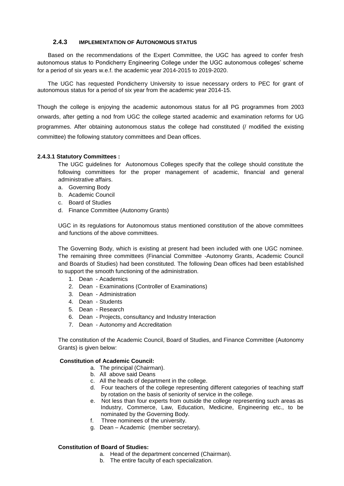#### **2.4.3 IMPLEMENTATION OF AUTONOMOUS STATUS**

Based on the recommendations of the Expert Committee, the UGC has agreed to confer fresh autonomous status to Pondicherry Engineering College under the UGC autonomous colleges' scheme for a period of six years w.e.f. the academic year 2014-2015 to 2019-2020.

The UGC has requested Pondicherry University to issue necessary orders to PEC for grant of autonomous status for a period of six year from the academic year 2014-15.

Though the college is enjoying the academic autonomous status for all PG programmes from 2003 onwards, after getting a nod from UGC the college started academic and examination reforms for UG programmes. After obtaining autonomous status the college had constituted (/ modified the existing committee) the following statutory committees and Dean offices.

#### **2.4.3.1 Statutory Committees :**

The UGC guidelines for Autonomous Colleges specify that the college should constitute the following committees for the proper management of academic, financial and general administrative affairs.

- a. Governing Body
- b. Academic Council
- c. Board of Studies
- d. Finance Committee (Autonomy Grants)

UGC in its regulations for Autonomous status mentioned constitution of the above committees and functions of the above committees.

The Governing Body, which is existing at present had been included with one UGC nominee. The remaining three committees (Financial Committee -Autonomy Grants, Academic Council and Boards of Studies) had been constituted. The following Dean offices had been established to support the smooth functioning of the administration.

- 1. Dean Academics
- 2. Dean Examinations (Controller of Examinations)
- 3. Dean Administration
- 4. Dean Students
- 5. Dean Research
- 6. Dean Projects, consultancy and Industry Interaction
- 7. Dean Autonomy and Accreditation

The constitution of the Academic Council, Board of Studies, and Finance Committee (Autonomy Grants) is given below:

#### **Constitution of Academic Council:**

- a. The principal (Chairman).
- b. All above said Deans
- c. All the heads of department in the college.
- d. Four teachers of the college representing different categories of teaching staff by rotation on the basis of seniority of service in the college.
- e. Not less than four experts from outside the college representing such areas as Industry, Commerce, Law, Education, Medicine, Engineering etc., to be nominated by the Governing Body.
- f. Three nominees of the university.
- g. Dean Academic (member secretary).

#### **Constitution of Board of Studies:**

- a. Head of the department concerned (Chairman).
- b. The entire faculty of each specialization.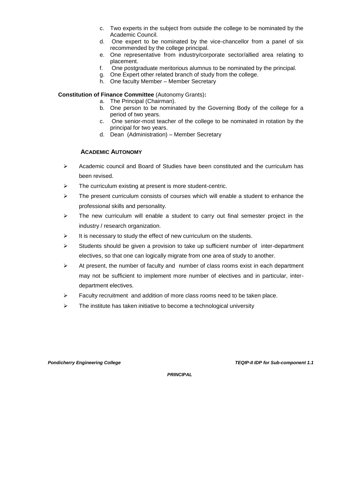- c. Two experts in the subject from outside the college to be nominated by the Academic Council.
- d. One expert to be nominated by the vice-chancellor from a panel of six recommended by the college principal.
- e. One representative from industry/corporate sector/allied area relating to placement.
- f. One postgraduate meritorious alumnus to be nominated by the principal.
- g. One Expert other related branch of study from the college.
- h. One faculty Member Member Secretary

#### **Constitution of Finance Committee** (Autonomy Grants)**:**

- a. The Principal (Chairman).
- b. One person to be nominated by the Governing Body of the college for a period of two years.
- c. One senior-most teacher of the college to be nominated in rotation by the principal for two years.
- d. Dean (Administration) Member Secretary

#### **ACADEMIC AUTONOMY**

- $\triangleright$  Academic council and Board of Studies have been constituted and the curriculum has been revised.
- $\triangleright$  The curriculum existing at present is more student-centric.
- $\triangleright$  The present curriculum consists of courses which will enable a student to enhance the professional skills and personality.
- $\triangleright$  The new curriculum will enable a student to carry out final semester project in the industry / research organization.
- $\triangleright$  It is necessary to study the effect of new curriculum on the students.
- $\triangleright$  Students should be given a provision to take up sufficient number of inter-department electives, so that one can logically migrate from one area of study to another.
- $\triangleright$  At present, the number of faculty and number of class rooms exist in each department may not be sufficient to implement more number of electives and in particular, interdepartment electives.
- $\triangleright$  Faculty recruitment and addition of more class rooms need to be taken place.
- $\triangleright$  The institute has taken initiative to become a technological university

*Pondicherry Engineering College TEQIP-II IDP for Sub-component 1.1*

 *PRINCIPAL*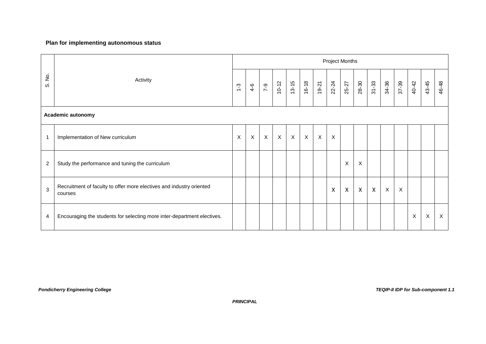#### **Plan for implementing autonomous status**

|                     |                                                                                 |                           |                  |                           |                           |              |             |             | <b>Project Months</b> |              |                           |              |             |                           |             |         |         |
|---------------------|---------------------------------------------------------------------------------|---------------------------|------------------|---------------------------|---------------------------|--------------|-------------|-------------|-----------------------|--------------|---------------------------|--------------|-------------|---------------------------|-------------|---------|---------|
| $\frac{1}{2}$<br>ωj | Activity                                                                        |                           | $4-6$            | $7 - 9$                   | $10 - 12$                 | $13 - 15$    | 16-18       | 19-21       | 22-24                 | 25-27        | 28-30                     | $31 - 33$    | 34-36       | 37-39                     | 40-42       | 43-45   | 46-48   |
|                     | <b>Academic autonomy</b>                                                        |                           |                  |                           |                           |              |             |             |                       |              |                           |              |             |                           |             |         |         |
| 1                   | Implementation of New curriculum                                                | $\boldsymbol{\mathsf{X}}$ | $\boldsymbol{X}$ | $\boldsymbol{\mathsf{X}}$ | $\boldsymbol{\mathsf{X}}$ | $\mathsf{X}$ | $\mathsf X$ | $\mathsf X$ | $\times$              |              |                           |              |             |                           |             |         |         |
| $\overline{c}$      | Study the performance and tuning the curriculum                                 |                           |                  |                           |                           |              |             |             |                       | $\sf X$      | $\boldsymbol{\mathsf{X}}$ |              |             |                           |             |         |         |
| 3                   | Recruitment of faculty to offer more electives and industry oriented<br>courses |                           |                  |                           |                           |              |             |             | X                     | $\mathsf{X}$ | $\boldsymbol{X}$          | $\mathsf{X}$ | $\mathsf X$ | $\boldsymbol{\mathsf{X}}$ |             |         |         |
| 4                   | Encouraging the students for selecting more inter-department electives.         |                           |                  |                           |                           |              |             |             |                       |              |                           |              |             |                           | $\mathsf X$ | $\sf X$ | $\sf X$ |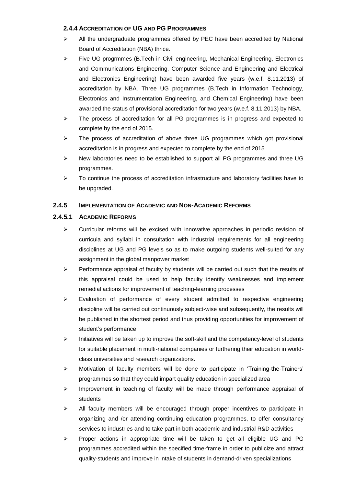#### **2.4.4 ACCREDITATION OF UG AND PG PROGRAMMES**

- $\triangleright$  All the undergraduate programmes offered by PEC have been accredited by National Board of Accreditation (NBA) thrice.
- $\triangleright$  Five UG progrmmes (B.Tech in Civil engineering, Mechanical Engineering, Electronics and Communications Engineering, Computer Science and Engineering and Electrical and Electronics Engineering) have been awarded five years (w.e.f. 8.11.2013) of accreditation by NBA. Three UG programmes (B.Tech in Information Technology, Electronics and Instrumentation Engineering, and Chemical Engineering) have been awarded the status of provisional accreditation for two years (w.e.f. 8.11.2013) by NBA.
- $\triangleright$  The process of accreditation for all PG programmes is in progress and expected to complete by the end of 2015.
- $\triangleright$  The process of accreditation of above three UG programmes which got provisional accreditation is in progress and expected to complete by the end of 2015.
- $\triangleright$  New laboratories need to be established to support all PG programmes and three UG programmes.
- $\triangleright$  To continue the process of accreditation infrastructure and laboratory facilities have to be upgraded.

#### **2.4.5 IMPLEMENTATION OF ACADEMIC AND NON-ACADEMIC REFORMS**

#### **2.4.5.1 ACADEMIC REFORMS**

- $\triangleright$  Curricular reforms will be excised with innovative approaches in periodic revision of curricula and syllabi in consultation with industrial requirements for all engineering disciplines at UG and PG levels so as to make outgoing students well-suited for any assignment in the global manpower market
- $\triangleright$  Performance appraisal of faculty by students will be carried out such that the results of this appraisal could be used to help faculty identify weaknesses and implement remedial actions for improvement of teaching-learning processes
- $\triangleright$  Evaluation of performance of every student admitted to respective engineering discipline will be carried out continuously subject-wise and subsequently, the results will be published in the shortest period and thus providing opportunities for improvement of student's performance
- $\triangleright$  Initiatives will be taken up to improve the soft-skill and the competency-level of students for suitable placement in multi-national companies or furthering their education in worldclass universities and research organizations.
- $\triangleright$  Motivation of faculty members will be done to participate in 'Training-the-Trainers' programmes so that they could impart quality education in specialized area
- $\triangleright$  Improvement in teaching of faculty will be made through performance appraisal of students
- $\triangleright$  All faculty members will be encouraged through proper incentives to participate in organizing and /or attending continuing education programmes, to offer consultancy services to industries and to take part in both academic and industrial R&D activities
- $\triangleright$  Proper actions in appropriate time will be taken to get all eligible UG and PG programmes accredited within the specified time-frame in order to publicize and attract quality-students and improve in intake of students in demand-driven specializations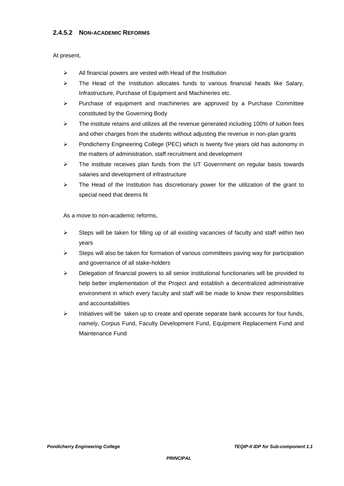#### **2.4.5.2 NON-ACADEMIC REFORMS**

#### At present,

- $\triangleright$  All financial powers are vested with Head of the Institution
- $\triangleright$  The Head of the Institution allocates funds to various financial heads like Salary, Infrastructure, Purchase of Equipment and Machineries etc.
- $\triangleright$  Purchase of equipment and machineries are approved by a Purchase Committee constituted by the Governing Body
- $\triangleright$  The institute retains and utilizes all the revenue generated including 100% of tuition fees and other charges from the students without adjusting the revenue in non-plan grants
- $\triangleright$  Pondicherry Engineering College (PEC) which is twenty five years old has autonomy in the matters of administration, staff recruitment and development
- $\triangleright$  The institute receives plan funds from the UT Government on regular basis towards salaries and development of infrastructure
- $\triangleright$  The Head of the Institution has discretionary power for the utilization of the grant to special need that deems fit

As a move to non-academic reforms,

- $\triangleright$  Steps will be taken for filling up of all existing vacancies of faculty and staff within two years
- $\triangleright$  Steps will also be taken for formation of various committees paving way for participation and governance of all stake-holders
- $\triangleright$  Delegation of financial powers to all senior institutional functionaries will be provided to help better implementation of the Project and establish a decentralized administrative environment in which every faculty and staff will be made to know their responsibilities and accountabilities
- $\triangleright$  Initiatives will be taken up to create and operate separate bank accounts for four funds, namely, Corpus Fund, Faculty Development Fund, Equipment Replacement Fund and Maintenance Fund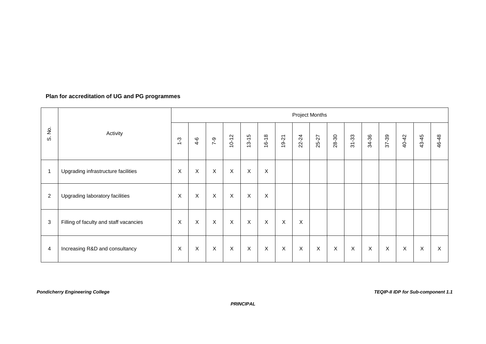### **Plan for accreditation of UG and PG programmes**

|                                          |                                        |         |                           |              |             |              |                |                | <b>Project Months</b> |             |                           |             |             |             |                           |       |       |
|------------------------------------------|----------------------------------------|---------|---------------------------|--------------|-------------|--------------|----------------|----------------|-----------------------|-------------|---------------------------|-------------|-------------|-------------|---------------------------|-------|-------|
| $\stackrel{\text{o}}{z}$<br><sub>0</sub> | Activity                               | $1 - 3$ | $4 - 6$                   | $7 - 9$      | $10 - 12$   | $13 - 15$    | $16 - 18$      | $19 - 21$      | 22-24                 | 25-27       | 28-30                     | $31 - 33$   | 34-36       | 37-39       | 40-42                     | 43-45 | 46-48 |
| $\mathbf 1$                              | Upgrading infrastructure facilities    | X       | $\mathsf X$               | $\mathsf X$  | $\mathsf X$ | $\mathsf X$  | $\pmb{\times}$ |                |                       |             |                           |             |             |             |                           |       |       |
| $\overline{2}$                           | Upgrading laboratory facilities        | X       | $\mathsf X$               | $\mathsf{X}$ | $\mathsf X$ | $\mathsf X$  | X              |                |                       |             |                           |             |             |             |                           |       |       |
| 3                                        | Filling of faculty and staff vacancies | X       | $\boldsymbol{\mathsf{X}}$ | $\mathsf{X}$ | $\mathsf X$ | $\mathsf X$  | $\mathsf{X}$   | $\pmb{\times}$ | X                     |             |                           |             |             |             |                           |       |       |
| $\overline{4}$                           | Increasing R&D and consultancy         | X       | $\boldsymbol{\mathsf{X}}$ | $\mathsf X$  | X           | $\mathsf{X}$ | $\mathsf X$    | X              | $\sf X$               | $\mathsf X$ | $\boldsymbol{\mathsf{X}}$ | $\mathsf X$ | $\mathsf X$ | $\mathsf X$ | $\boldsymbol{\mathsf{X}}$ | X     | X     |

 *PRINCIPAL*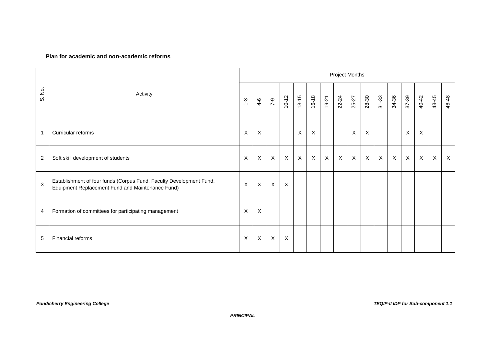#### **Plan for academic and non-academic reforms**

|                    |                                                                                                                         |       |                           |              |                           |              |                           |              | Project Months |                           |              |             |              |                           |                  |              |         |
|--------------------|-------------------------------------------------------------------------------------------------------------------------|-------|---------------------------|--------------|---------------------------|--------------|---------------------------|--------------|----------------|---------------------------|--------------|-------------|--------------|---------------------------|------------------|--------------|---------|
| $\frac{1}{2}$<br>ω | Activity                                                                                                                | $1-3$ | $4 - 6$                   | $7 - 9$      | $10 - 12$                 | $13 - 15$    | 16-18                     | $19 - 21$    | 22-24          | 25-27                     | 28-30        | $31 - 33$   | 34-36        | 37-39                     | 40-42            | 43-45        | 46-48   |
| -1                 | Curricular reforms                                                                                                      | X     | $\boldsymbol{\mathsf{X}}$ |              |                           | $\sf X$      | $\boldsymbol{\mathsf{X}}$ |              |                | $\boldsymbol{\mathsf{X}}$ | X            |             |              | $\boldsymbol{\mathsf{X}}$ | $\boldsymbol{X}$ |              |         |
| $\overline{2}$     | Soft skill development of students                                                                                      | X     | X                         | $\mathsf{X}$ | $\boldsymbol{\mathsf{X}}$ | $\mathsf{X}$ | $\mathsf X$               | $\mathsf{X}$ | $\mathsf{X}$   | $\boldsymbol{\mathsf{X}}$ | $\mathsf{X}$ | $\mathsf X$ | $\mathsf{X}$ | $\boldsymbol{\mathsf{X}}$ | $\mathsf X$      | $\mathsf{X}$ | $\sf X$ |
| 3                  | Establishment of four funds (Corpus Fund, Faculty Development Fund,<br>Equipment Replacement Fund and Maintenance Fund) | X     | $\sf X$                   | X            | $\boldsymbol{\mathsf{X}}$ |              |                           |              |                |                           |              |             |              |                           |                  |              |         |
| 4                  | Formation of committees for participating management                                                                    | X     | X                         |              |                           |              |                           |              |                |                           |              |             |              |                           |                  |              |         |
| 5                  | Financial reforms                                                                                                       | X     | $\sf X$                   | X            | $\boldsymbol{\mathsf{X}}$ |              |                           |              |                |                           |              |             |              |                           |                  |              |         |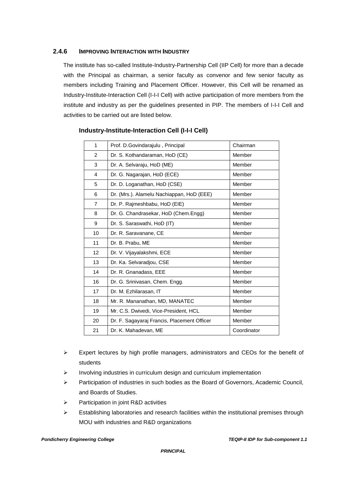#### **2.4.6 IMPROVING INTERACTION WITH INDUSTRY**

The institute has so-called Institute-Industry-Partnership Cell (IIP Cell) for more than a decade with the Principal as chairman, a senior faculty as convenor and few senior faculty as members including Training and Placement Officer. However, this Cell will be renamed as Industry-Institute-Interaction Cell (I-I-I Cell) with active participation of more members from the institute and industry as per the guidelines presented in PIP. The members of I-I-I Cell and activities to be carried out are listed below.

| 1              | Prof. D.Govindarajulu, Principal            | Chairman    |
|----------------|---------------------------------------------|-------------|
| $\overline{2}$ | Dr. S. Kothandaraman, HoD (CE)              | Member      |
| 3              | Dr. A. Selvaraju, HoD (ME)                  | Member      |
| 4              | Dr. G. Nagarajan, HoD (ECE)                 | Member      |
| 5              | Dr. D. Loganathan, HoD (CSE)                | Member      |
| 6              | Dr. (Mrs.). Alamelu Nachiappan, HoD (EEE)   | Member      |
| $\overline{7}$ | Dr. P. Rajmeshbabu, HoD (EIE)               | Member      |
| 8              | Dr. G. Chandrasekar, HoD (Chem.Engg)        | Member      |
| 9              | Dr. S. Saraswathi, HoD (IT)                 | Member      |
| 10             | Dr. R. Saravanane, CE                       | Member      |
| 11             | Dr. B. Prabu, ME                            | Member      |
| 12             | Dr. V. Vijayalakshmi, ECE                   | Member      |
| 13             | Dr. Ka. Selvaradjou, CSE                    | Member      |
| 14             | Dr. R. Gnanadass, EEE                       | Member      |
| 16             | Dr. G. Srinivasan, Chem. Engg.              | Member      |
| 17             | Dr. M. Ezhilarasan, IT                      | Member      |
| 18             | Mr. R. Mananathan, MD, MANATEC              | Member      |
| 19             | Mr. C.S. Dwivedi, Vice-President, HCL       | Member      |
| 20             | Dr. F. Sagayaraj Francis, Placement Officer | Member      |
| 21             | Dr. K. Mahadevan, ME                        | Coordinator |

#### **Industry-Institute-Interaction Cell (I-I-I Cell)**

- $\triangleright$  Expert lectures by high profile managers, administrators and CEOs for the benefit of students
- $\triangleright$  Involving industries in curriculum design and curriculum implementation
- $\triangleright$  Participation of industries in such bodies as the Board of Governors, Academic Council, and Boards of Studies.
- $\triangleright$  Participation in joint R&D activities
- $\triangleright$  Establishing laboratories and research facilities within the institutional premises through MOU with industries and R&D organizations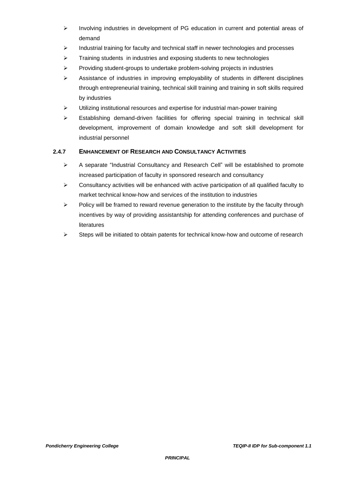- $\triangleright$  Involving industries in development of PG education in current and potential areas of demand
- $\triangleright$  Industrial training for faculty and technical staff in newer technologies and processes
- $\triangleright$  Training students in industries and exposing students to new technologies
- $\triangleright$  Providing student-groups to undertake problem-solving projects in industries
- $\triangleright$  Assistance of industries in improving employability of students in different disciplines through entrepreneurial training, technical skill training and training in soft skills required by industries
- Utilizing institutional resources and expertise for industrial man-power training
- $\triangleright$  Establishing demand-driven facilities for offering special training in technical skill development, improvement of domain knowledge and soft skill development for industrial personnel

#### **2.4.7 ENHANCEMENT OF RESEARCH AND CONSULTANCY ACTIVITIES**

- $\triangleright$  A separate "Industrial Consultancy and Research Cell" will be established to promote increased participation of faculty in sponsored research and consultancy
- $\triangleright$  Consultancy activities will be enhanced with active participation of all qualified faculty to market technical know-how and services of the institution to industries
- $\triangleright$  Policy will be framed to reward revenue generation to the institute by the faculty through incentives by way of providing assistantship for attending conferences and purchase of literatures
- $\triangleright$  Steps will be initiated to obtain patents for technical know-how and outcome of research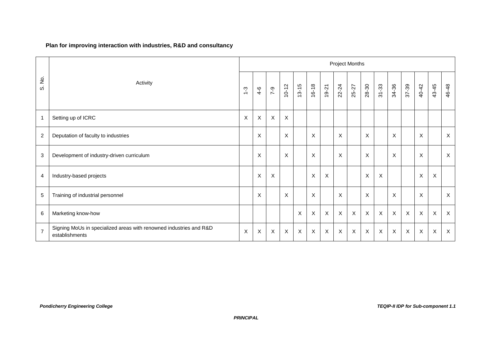#### **Plan for improving interaction with industries, R&D and consultancy**

|                |                                                                                      |               |                           |                           |                           |              |       |              | <b>Project Months</b> |                           |                           |                  |          |                           |                           |              |                           |
|----------------|--------------------------------------------------------------------------------------|---------------|---------------------------|---------------------------|---------------------------|--------------|-------|--------------|-----------------------|---------------------------|---------------------------|------------------|----------|---------------------------|---------------------------|--------------|---------------------------|
| S. No.         | Activity                                                                             | $\frac{3}{2}$ | $4 - 6$                   | $7 - 9$                   | $10 - 12$                 | $13 - 15$    | 16-18 | 19-21        | 22-24                 | 25-27                     | 28-30                     | $31 - 33$        | 34-36    | 37-39                     | 40-42                     | 43-45        | 46-48                     |
| $\overline{1}$ | Setting up of ICRC                                                                   | X             | $\mathsf X$               | $\boldsymbol{\mathsf{X}}$ | X                         |              |       |              |                       |                           |                           |                  |          |                           |                           |              |                           |
| $\overline{c}$ | Deputation of faculty to industries                                                  |               | $\boldsymbol{\mathsf{X}}$ |                           | X                         |              | X     |              | $\mathsf{X}$          |                           | X                         |                  | X        |                           | X                         |              | $\mathsf{X}$              |
| $\sqrt{3}$     | Development of industry-driven curriculum                                            |               | $\boldsymbol{\mathsf{X}}$ |                           | X                         |              | X     |              | $\pmb{\times}$        |                           | $\boldsymbol{\mathsf{X}}$ |                  | $\times$ |                           | X                         |              | $\mathsf{X}$              |
| 4              | Industry-based projects                                                              |               | $\boldsymbol{\mathsf{X}}$ | X                         |                           |              | X     | $\sf X$      |                       |                           | X                         | X                |          |                           | X                         | X            |                           |
| $\sqrt{5}$     | Training of industrial personnel                                                     |               | $\boldsymbol{\mathsf{X}}$ |                           | X                         |              | X     |              | $\mathsf{X}$          |                           | $\mathsf{X}$              |                  | X        |                           | X                         |              | $\mathsf{X}$              |
| $\,6\,$        | Marketing know-how                                                                   |               |                           |                           |                           | $\times$     | X     | $\mathsf{X}$ | $\mathsf{X}$          | $\boldsymbol{\mathsf{X}}$ | $\mathsf X$               | $\boldsymbol{X}$ | X        | $\boldsymbol{\mathsf{X}}$ | $\boldsymbol{\mathsf{X}}$ | X            | $\sf X$                   |
| $\overline{7}$ | Signing MoUs in specialized areas with renowned industries and R&D<br>establishments | X             | $\boldsymbol{X}$          | $\sf X$                   | $\boldsymbol{\mathsf{X}}$ | $\mathsf{X}$ | X     | $\sf X$      | $\sf X$               | $\boldsymbol{\mathsf{X}}$ | $\mathsf X$               | $\boldsymbol{X}$ | $\sf X$  | $\boldsymbol{X}$          | $\sf X$                   | $\mathsf{X}$ | $\boldsymbol{\mathsf{X}}$ |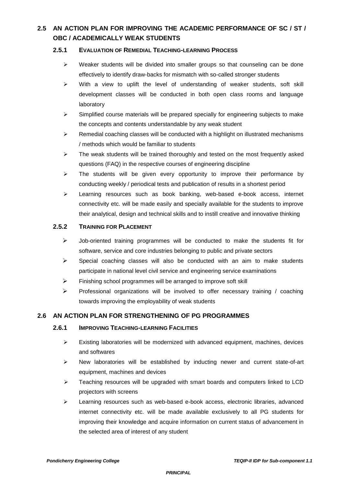### **2.5 AN ACTION PLAN FOR IMPROVING THE ACADEMIC PERFORMANCE OF SC / ST / OBC / ACADEMICALLY WEAK STUDENTS**

#### **2.5.1 EVALUATION OF REMEDIAL TEACHING-LEARNING PROCESS**

- $\triangleright$  Weaker students will be divided into smaller groups so that counseling can be done effectively to identify draw-backs for mismatch with so-called stronger students
- $\triangleright$  With a view to uplift the level of understanding of weaker students, soft skill development classes will be conducted in both open class rooms and language laboratory
- $\triangleright$  Simplified course materials will be prepared specially for engineering subjects to make the concepts and contents understandable by any weak student
- $\triangleright$  Remedial coaching classes will be conducted with a highlight on illustrated mechanisms / methods which would be familiar to students
- $\triangleright$  The weak students will be trained thoroughly and tested on the most frequently asked questions (FAQ) in the respective courses of engineering discipline
- $\triangleright$  The students will be given every opportunity to improve their performance by conducting weekly / periodical tests and publication of results in a shortest period
- $\triangleright$  Learning resources such as book banking, web-based e-book access, internet connectivity etc. will be made easily and specially available for the students to improve their analytical, design and technical skills and to instill creative and innovative thinking

#### **2.5.2 TRAINING FOR PLACEMENT**

- $\triangleright$  Job-oriented training programmes will be conducted to make the students fit for software, service and core industries belonging to public and private sectors
- $\triangleright$  Special coaching classes will also be conducted with an aim to make students participate in national level civil service and engineering service examinations
- $\triangleright$  Finishing school programmes will be arranged to improve soft skill
- $\triangleright$  Professional organizations will be involved to offer necessary training / coaching towards improving the employability of weak students

#### **2.6 AN ACTION PLAN FOR STRENGTHENING OF PG PROGRAMMES**

#### **2.6.1 IMPROVING TEACHING-LEARNING FACILITIES**

- $\triangleright$  Existing laboratories will be modernized with advanced equipment, machines, devices and softwares
- $\triangleright$  New laboratories will be established by inducting newer and current state-of-art equipment, machines and devices
- $\triangleright$  Teaching resources will be upgraded with smart boards and computers linked to LCD projectors with screens
- $\triangleright$  Learning resources such as web-based e-book access, electronic libraries, advanced internet connectivity etc. will be made available exclusively to all PG students for improving their knowledge and acquire information on current status of advancement in the selected area of interest of any student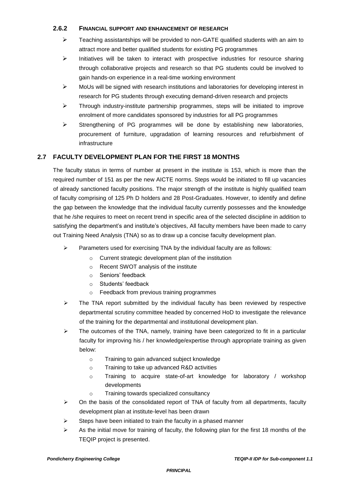#### **2.6.2 FINANCIAL SUPPORT AND ENHANCEMENT OF RESEARCH**

- $\triangleright$  Teaching assistantships will be provided to non-GATE qualified students with an aim to attract more and better qualified students for existing PG programmes
- $\triangleright$  Initiatives will be taken to interact with prospective industries for resource sharing through collaborative projects and research so that PG students could be involved to gain hands-on experience in a real-time working environment
- $\triangleright$  MoUs will be signed with research institutions and laboratories for developing interest in research for PG students through executing demand-driven research and projects
- $\triangleright$  Through industry-institute partnership programmes, steps will be initiated to improve enrolment of more candidates sponsored by industries for all PG programmes
- $\triangleright$  Strengthening of PG programmes will be done by establishing new laboratories, procurement of furniture, upgradation of learning resources and refurbishment of infrastructure

### **2.7 FACULTY DEVELOPMENT PLAN FOR THE FIRST 18 MONTHS**

The faculty status in terms of number at present in the institute is 153, which is more than the required number of 151 as per the new AICTE norms. Steps would be initiated to fill up vacancies of already sanctioned faculty positions. The major strength of the institute is highly qualified team of faculty comprising of 125 Ph D holders and 28 Post-Graduates. However, to identify and define the gap between the knowledge that the individual faculty currently possesses and the knowledge that he /she requires to meet on recent trend in specific area of the selected discipline in addition to satisfying the department's and institute's objectives, All faculty members have been made to carry out Training Need Analysis (TNA) so as to draw up a concise faculty development plan.

- $\triangleright$  Parameters used for exercising TNA by the individual faculty are as follows:
	- o Current strategic development plan of the institution
	- o Recent SWOT analysis of the institute
	- o Seniors' feedback
	- o Students' feedback
	- o Feedback from previous training programmes
- $\triangleright$  The TNA report submitted by the individual faculty has been reviewed by respective departmental scrutiny committee headed by concerned HoD to investigate the relevance of the training for the departmental and institutional development plan.
- $\triangleright$  The outcomes of the TNA, namely, training have been categorized to fit in a particular faculty for improving his / her knowledge/expertise through appropriate training as given below:
	- o Training to gain advanced subject knowledge
	- o Training to take up advanced R&D activities
	- o Training to acquire state-of-art knowledge for laboratory / workshop developments
	- o Training towards specialized consultancy
- $\triangleright$  On the basis of the consolidated report of TNA of faculty from all departments, faculty development plan at institute-level has been drawn
- $\triangleright$  Steps have been initiated to train the faculty in a phased manner
- $\triangleright$  As the initial move for training of faculty, the following plan for the first 18 months of the TEQIP project is presented.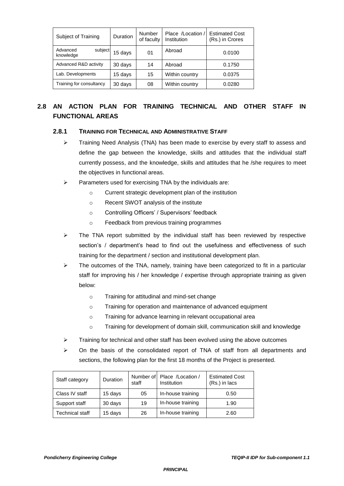| Subject of Training              | <b>Duration</b> | Number<br>of faculty | Place /Location /<br>Institution | <b>Estimated Cost</b><br>(Rs.) in Crores |
|----------------------------------|-----------------|----------------------|----------------------------------|------------------------------------------|
| Advanced<br>subject<br>knowledge | 15 days         | 01                   | Abroad                           | 0.0100                                   |
| Advanced R&D activity            | 30 days         | 14                   | Abroad                           | 0.1750                                   |
| Lab. Developments                | 15 days         | 15                   | Within country                   | 0.0375                                   |
| Training for consultancy         | 30 days         | 08                   | Within country                   | 0.0280                                   |

### **2.8 AN ACTION PLAN FOR TRAINING TECHNICAL AND OTHER STAFF IN FUNCTIONAL AREAS**

#### **2.8.1 TRAINING FOR TECHNICAL AND ADMINISTRATIVE STAFF**

- $\triangleright$  Training Need Analysis (TNA) has been made to exercise by every staff to assess and define the gap between the knowledge, skills and attitudes that the individual staff currently possess, and the knowledge, skills and attitudes that he /she requires to meet the objectives in functional areas.
- $\triangleright$  Parameters used for exercising TNA by the individuals are:
	- o Current strategic development plan of the institution
	- o Recent SWOT analysis of the institute
	- o Controlling Officers' / Supervisors' feedback
	- o Feedback from previous training programmes
- $\triangleright$  The TNA report submitted by the individual staff has been reviewed by respective section's / department's head to find out the usefulness and effectiveness of such training for the department / section and institutional development plan.
- $\triangleright$  The outcomes of the TNA, namely, training have been categorized to fit in a particular staff for improving his / her knowledge / expertise through appropriate training as given below:
	- o Training for attitudinal and mind-set change
	- o Training for operation and maintenance of advanced equipment
	- o Training for advance learning in relevant occupational area
	- o Training for development of domain skill, communication skill and knowledge
- $\triangleright$  Training for technical and other staff has been evolved using the above outcomes
- On the basis of the consolidated report of TNA of staff from all departments and sections, the following plan for the first 18 months of the Project is presented.

| Staff category  | Duration | staff | Number of Place / Location /<br>Institution | <b>Estimated Cost</b><br>(Rs.) in lacs |
|-----------------|----------|-------|---------------------------------------------|----------------------------------------|
| Class IV staff  | 15 days  | 05    | In-house training                           | 0.50                                   |
| Support staff   | 30 days  | 19    | In-house training                           | 1.90                                   |
| Technical staff | 15 days  | 26    | In-house training                           | 2.60                                   |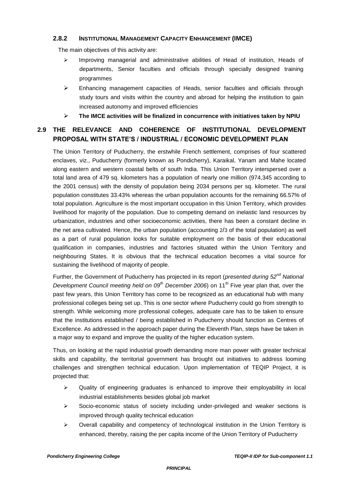#### **2.8.2 INSTITUTIONAL MANAGEMENT CAPACITY ENHANCEMENT (IMCE)**

The main objectives of this activity are:

- $\triangleright$  Improving managerial and administrative abilities of Head of institution, Heads of departments, Senior faculties and officials through specially designed training programmes
- $\triangleright$  Enhancing management capacities of Heads, senior faculties and officials through study tours and visits within the country and abroad for helping the institution to gain increased autonomy and improved efficiencies
- **The IMCE activities will be finalized in concurrence with initiatives taken by NPIU**

### **2.9 THE RELEVANCE AND COHERENCE OF INSTITUTIONAL DEVELOPMENT PROPOSAL WITH STATE'S / INDUSTRIAL / ECONOMIC DEVELOPMENT PLAN**

The Union Territory of Puducherry, the erstwhile French settlement, comprises of four scattered enclaves, viz., Puducherry (formerly known as Pondicherry), Karaikal, Yanam and Mahe located along eastern and western coastal belts of south India. This Union Territory interspersed over a total land area of 479 sq. kilometers has a population of nearly one million (974,345 according to the 2001 census) with the density of population being 2034 persons per sq. kilometer. The rural population constitutes 33.43% whereas the urban population accounts for the remaining 66.57% of total population. Agriculture is the most important occupation in this Union Territory, which provides livelihood for majority of the population. Due to competing demand on inelastic land resources by urbanization, industries and other socioeconomic activities, there has been a constant decline in the net area cultivated. Hence, the urban population (accounting 2/3 of the total population) as well as a part of rural population looks for suitable employment on the basis of their educational qualification in companies, industries and factories situated within the Union Territory and neighbouring States. It is obvious that the technical education becomes a vital source for sustaining the livelihood of majority of people.

Further, the Government of Puducherry has projected in its report (*presented during 52nd National Development Council meeting held on 09<sup>th</sup> December 2006*) on 11<sup>th</sup> Five year plan that, over the past few years, this Union Territory has come to be recognized as an educational hub with many professional colleges being set up. This is one sector where Puducherry could go from strength to strength. While welcoming more professional colleges, adequate care has to be taken to ensure that the institutions established / being established in Puducherry should function as Centres of Excellence. As addressed in the approach paper during the Eleventh Plan, steps have be taken in a major way to expand and improve the quality of the higher education system.

Thus, on looking at the rapid industrial growth demanding more man power with greater technical skills and capability, the territorial government has brought out initiatives to address looming challenges and strengthen technical education. Upon implementation of TEQIP Project, it is projected that:

- $\triangleright$  Quality of engineering graduates is enhanced to improve their employability in local industrial establishments besides global job market
- $\triangleright$  Socio-economic status of society including under-privileged and weaker sections is improved through quality technical education
- $\triangleright$  Overall capability and competency of technological institution in the Union Territory is enhanced, thereby, raising the per capita income of the Union Territory of Puducherry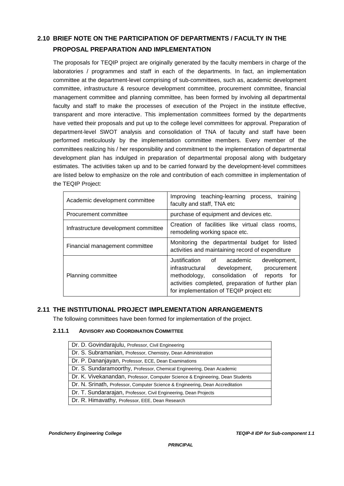### **2.10 BRIEF NOTE ON THE PARTICIPATION OF DEPARTMENTS / FACULTY IN THE PROPOSAL PREPARATION AND IMPLEMENTATION**

The proposals for TEQIP project are originally generated by the faculty members in charge of the laboratories / programmes and staff in each of the departments. In fact, an implementation committee at the department-level comprising of sub-committees, such as, academic development committee, infrastructure & resource development committee, procurement committee, financial management committee and planning committee, has been formed by involving all departmental faculty and staff to make the processes of execution of the Project in the institute effective, transparent and more interactive. This implementation committees formed by the departments have vetted their proposals and put up to the college level committees for approval. Preparation of department-level SWOT analysis and consolidation of TNA of faculty and staff have been performed meticulously by the implementation committee members. Every member of the committees realizing his / her responsibility and commitment to the implementation of departmental development plan has indulged in preparation of departmental proposal along with budgetary estimates. The activities taken up and to be carried forward by the development-level committees are listed below to emphasize on the role and contribution of each committee in implementation of the TEQIP Project:

| Academic development committee       | Improving teaching-learning process,<br>training<br>faculty and staff, TNA etc                                                                                                                                                              |  |  |  |  |  |  |  |
|--------------------------------------|---------------------------------------------------------------------------------------------------------------------------------------------------------------------------------------------------------------------------------------------|--|--|--|--|--|--|--|
| Procurement committee                | purchase of equipment and devices etc.                                                                                                                                                                                                      |  |  |  |  |  |  |  |
| Infrastructure development committee | Creation of facilities like virtual class rooms,<br>remodeling working space etc.                                                                                                                                                           |  |  |  |  |  |  |  |
| Financial management committee       | Monitoring the departmental budget for listed<br>activities and maintaining record of expenditure                                                                                                                                           |  |  |  |  |  |  |  |
| Planning committee                   | Justification of academic<br>development,<br>infrastructural development,<br>procurement<br>methodology, consolidation of<br>for<br>reports<br>activities completed, preparation of further plan<br>for implementation of TEQIP project etc |  |  |  |  |  |  |  |

### **2.11 THE INSTITUTIONAL PROJECT IMPLEMENTATION ARRANGEMENTS**

The following committees have been formed for implementation of the project.

#### **2.11.1 ADVISORY AND COORDINATION COMMITTEE**

| Dr. D. Govindarajulu, Professor, Civil Engineering                            |
|-------------------------------------------------------------------------------|
| Dr. S. Subramanian, Professor, Chemistry, Dean Administration                 |
| Dr. P. Dananjayan, Professor, ECE, Dean Examinations                          |
| Dr. S. Sundaramoorthy, Professor, Chemical Engineering, Dean Academic         |
| Dr. K. Vivekanandan, Professor, Computer Science & Engineering, Dean Students |
| Dr. N. Srinath, Professor, Computer Science & Engineering, Dean Accreditation |
| Dr. T. Sundararajan, Professor, Civil Engineering, Dean Projects              |
| Dr. R. Himavathy, Professor, EEE, Dean Research                               |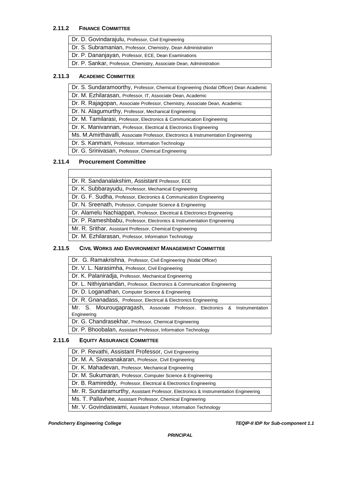#### **2.11.2 FINANCE COMMITTEE**

| Dr. D. Govindarajulu, Professor, Civil Engineering                  |
|---------------------------------------------------------------------|
| Dr. S. Subramanian, Professor, Chemistry, Dean Administration       |
| Dr. P. Dananjayan, Professor, ECE, Dean Examinations                |
| Dr. P. Sankar, Professor, Chemistry, Associate Dean, Administration |

#### **2.11.3 ACADEMIC COMMITTEE**

|  |  |  | Dr. S. Sundaramoorthy, Professor, Chemical Engineering (Nodal Officer) Dean Academic |  |  |  |
|--|--|--|--------------------------------------------------------------------------------------|--|--|--|
|--|--|--|--------------------------------------------------------------------------------------|--|--|--|

Dr. M. Ezhilarasan, Professor, IT, Associate Dean, Academic

Dr. R. Rajagopan, Associate Professor, Chemistry, Associate Dean, Academic

Dr. N. Alagumurthy, Professor, Mechanical Engineering

Dr. M. Tamilarasi, Professor, Electronics & Communication Engineering

Dr. K. Manivannan, Professor, Electrical & Electronics Engineering

Ms. M.Amirthavalli, Associate Professor, Electronics & Instrumentation Engineering

Dr. S. Kanmani, Professor, Information Technology

Dr. G. Srinivasan, Professor, Chemical Engineering

#### **2.11.4 Procurement Committee**

| Dr. R. Sandanalakshim, Assistant Professor, ECE       |
|-------------------------------------------------------|
| Dr. K. Subbarayudu, Professor, Mechanical Engineering |

Dr. G. F. Sudha, Professor, Electronics & Communication Engineering

Dr. N. Sreenath, Professor, Computer Science & Engineering

Dr. Alamelu Nachiappan, Professor, Electrical & Electronics Engineering

Dr. P. Rameshbabu, Professor, Electronics & Instrumentation Engineering

Mr. R. Srithar, Assistant Professor, Chemical Engineering

Dr. M. Ezhilarasan, Professor, Information Technology

#### **2.11.5 CIVIL WORKS AND ENVIRONMENT MANAGEMENT COMMITTEE**

| Dr. G. Ramakrishna, Professor, Civil Engineering (Nodal Officer)           |  |  |  |  |  |  |  |  |  |  |
|----------------------------------------------------------------------------|--|--|--|--|--|--|--|--|--|--|
| Dr. V. L. Narasimha, Professor, Civil Engineering                          |  |  |  |  |  |  |  |  |  |  |
| Dr. K. Palaniradja, Professor, Mechanical Engineering                      |  |  |  |  |  |  |  |  |  |  |
| Dr. L. Nithiyanandan, Professor, Electronics & Communication Engineering   |  |  |  |  |  |  |  |  |  |  |
| Dr. D. Loganathan, Computer Science & Engineering                          |  |  |  |  |  |  |  |  |  |  |
| Dr. R. Gnanadass, Professor, Electrical & Electronics Engineering          |  |  |  |  |  |  |  |  |  |  |
| Mr. S. Mourougapragash, Associate Professor, Electronics & Instrumentation |  |  |  |  |  |  |  |  |  |  |
| Engineering                                                                |  |  |  |  |  |  |  |  |  |  |
| Dr. G. Chandrasekhar, Professor, Chemical Engineering                      |  |  |  |  |  |  |  |  |  |  |
| Dr. P. Bhoobalan, Assistant Professor, Information Technology              |  |  |  |  |  |  |  |  |  |  |

#### **2.11.6 EQUITY ASSURANCE COMMITTEE**

| Dr. P. Revathi, Assistant Professor, Civil Engineering                               |
|--------------------------------------------------------------------------------------|
| Dr. M. A. Sivasanakaran, Professor, Civil Engineering                                |
| Dr. K. Mahadevan, Professor, Mechanical Engineering                                  |
| Dr. M. Sukumaran, Professor, Computer Science & Engineering                          |
| Dr. B. Ramireddy, Professor, Electrical & Electronics Engineering                    |
| Mr. R. Sundaramurthy, Assistant Professor, Electronics & Instrumentation Engineering |
| Ms. T. Pallavhee, Assistant Professor, Chemical Engineering                          |
| Mr. V. Govindaswami, Assistant Professor, Information Technology                     |

*Pondicherry Engineering College TEQIP-II IDP for Sub-component 1.1*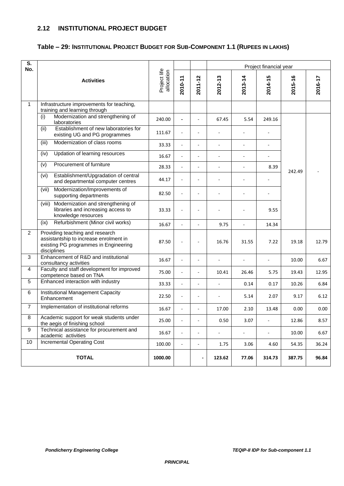### **2.12 INSTITUTIONAL PROJECT BUDGET**

### **Table – 29: INSTITUTIONAL PROJECT BUDGET FOR SUB-COMPONENT 1.1 (RUPEES IN LAKHS)**

| $\overline{\mathsf{s}}$ .<br>No. |                                                                                                                                   |                            |                          |                          | Project financial year |                          |         |         |         |  |  |
|----------------------------------|-----------------------------------------------------------------------------------------------------------------------------------|----------------------------|--------------------------|--------------------------|------------------------|--------------------------|---------|---------|---------|--|--|
|                                  | <b>Activities</b>                                                                                                                 | Project life<br>allocation | 2010-11                  | 2011-12                  | 2012-13                | 2013-14                  | 2014-15 | 2015-16 | 2016-17 |  |  |
| $\mathbf{1}$                     | Infrastructure improvements for teaching,<br>training and learning through                                                        |                            |                          |                          |                        |                          |         |         |         |  |  |
|                                  | Modernization and strengthening of<br>(i)<br>laboratories                                                                         | 240.00                     |                          |                          | 67.45                  | 5.54                     | 249.16  |         |         |  |  |
|                                  | Establishment of new laboratories for<br>(ii)<br>existing UG and PG programmes                                                    | 111.67                     |                          |                          |                        |                          |         |         |         |  |  |
|                                  | Modernization of class rooms<br>(iii)                                                                                             | 33.33                      |                          |                          |                        |                          |         |         |         |  |  |
|                                  | Updation of learning resources<br>(iv)                                                                                            | 16.67                      |                          |                          |                        |                          |         |         |         |  |  |
|                                  | Procurement of furniture<br>(v)                                                                                                   | 28.33                      |                          |                          | $\overline{a}$         | $\overline{\phantom{a}}$ | 8.39    | 242.49  |         |  |  |
|                                  | Establishment/Upgradation of central<br>(vi)<br>and departmental computer centres                                                 | 44.17                      |                          |                          |                        |                          |         |         |         |  |  |
|                                  | Modernization/Improvements of<br>(vii)<br>supporting departments                                                                  | 82.50                      |                          |                          |                        |                          |         |         |         |  |  |
|                                  | Modernization and strengthening of<br>(viii)<br>libraries and increasing access to<br>knowledge resources                         | 33.33                      |                          |                          |                        |                          | 9.55    |         |         |  |  |
|                                  | Refurbishment (Minor civil works)<br>(ix)                                                                                         | 16.67                      |                          |                          | 9.75                   |                          | 14.34   |         |         |  |  |
| 2                                | Providing teaching and research<br>assistantship to increase enrolment in<br>existing PG programmes in Engineering<br>disciplines | 87.50                      |                          |                          | 16.76                  | 31.55                    | 7.22    | 19.18   | 12.79   |  |  |
| 3                                | Enhancement of R&D and institutional<br>consultancy activities                                                                    | 16.67                      | $\overline{\phantom{a}}$ |                          |                        |                          |         | 10.00   | 6.67    |  |  |
| $\overline{4}$                   | Faculty and staff development for improved<br>competence based on TNA                                                             | 75.00                      |                          |                          | 10.41                  | 26.46                    | 5.75    | 19.43   | 12.95   |  |  |
| 5                                | Enhanced interaction with industry                                                                                                | 33.33                      |                          |                          |                        | 0.14                     | 0.17    | 10.26   | 6.84    |  |  |
| 6                                | <b>Institutional Management Capacity</b><br>Enhancement                                                                           | 22.50                      |                          |                          |                        | 5.14                     | 2.07    | 9.17    | 6.12    |  |  |
| $\overline{7}$                   | Implementation of institutional reforms                                                                                           | 16.67                      |                          |                          | 17.00                  | 2.10                     | 13.48   | 0.00    | 0.00    |  |  |
| 8                                | Academic support for weak students under<br>the aegis of finishing school                                                         | 25.00                      | $\blacksquare$           | $\overline{\phantom{a}}$ | 0.50                   | 3.07                     | ÷,      | 12.86   | 8.57    |  |  |
| 9                                | Technical assistance for procurement and<br>academic activities                                                                   | 16.67                      | $\blacksquare$           | $\overline{\phantom{a}}$ | $\blacksquare$         | ÷,                       | ÷,      | 10.00   | 6.67    |  |  |
| 10                               | <b>Incremental Operating Cost</b>                                                                                                 | 100.00                     | $\overline{\phantom{a}}$ | $\blacksquare$           | 1.75                   | 3.06                     | 4.60    | 54.35   | 36.24   |  |  |
|                                  | <b>TOTAL</b>                                                                                                                      | 1000.00                    |                          | ٠                        | 123.62                 | 77.06                    | 314.73  | 387.75  | 96.84   |  |  |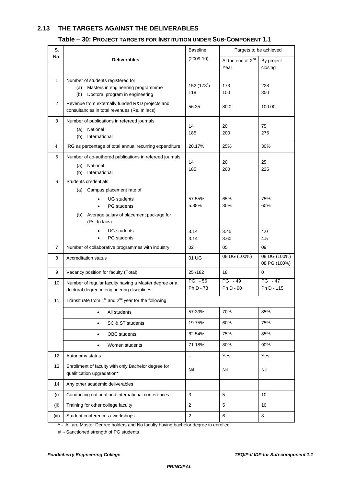### **2.13 THE TARGETS AGAINST THE DELIVERABLES**

#### **Table – 30: PROJECT TARGETS FOR INSTITUTION UNDER SUB-COMPONENT 1.1**

| S.             |                                                                                                                                                                        | <b>Baseline</b>               | Targets to be achieved                |                              |  |  |
|----------------|------------------------------------------------------------------------------------------------------------------------------------------------------------------------|-------------------------------|---------------------------------------|------------------------------|--|--|
| No.            | <b>Deliverables</b>                                                                                                                                                    | $(2009-10)$                   | At the end of 2 <sup>nd</sup><br>Year | By project<br>closing        |  |  |
| $\mathbf{1}$   | Number of students registered for<br>Masters in engineering programmme<br>(a)<br>Doctoral program in engineering<br>(b)                                                | 152(173 <sup>#</sup> )<br>118 | 173<br>150                            | 228<br>350                   |  |  |
| 2              | Revenue from externally funded R&D projects and<br>consultancies in total revenues (Rs. In lacs)                                                                       | 56.35                         | 80.0                                  | 100.00                       |  |  |
| 3              | Number of publications in refereed journals<br>National<br>(a)<br>International<br>(b)                                                                                 | 14<br>185                     | 20<br>200                             | 75<br>275                    |  |  |
| 4.             | IRG as percentage of total annual recurring expenditure                                                                                                                | 20.17%                        | 25%                                   | 30%                          |  |  |
| 5              | Number of co-authored publications in refereed journals<br>National<br>(a)<br>(b)<br>International                                                                     | 14<br>185                     | 20<br>200                             | 25<br>225                    |  |  |
| 6              | Students credentials<br>Campus placement rate of<br>(a)<br><b>UG</b> students<br><b>PG</b> students<br>Average salary of placement package for<br>(b)<br>(Rs. In lacs) | 57.55%<br>5.88%               | 65%<br>30%                            | 75%<br>60%                   |  |  |
|                | <b>UG</b> students<br><b>PG</b> students                                                                                                                               | 3.14<br>3.14                  | 3.45<br>3.60                          | 4.0<br>4.5                   |  |  |
| $\overline{7}$ | Number of collaborative programmes with industry                                                                                                                       | 02                            | 05                                    | 09                           |  |  |
| 8              | <b>Accreditation status</b>                                                                                                                                            | 01 UG                         | 08 UG (100%)                          | 08 UG (100%)<br>08 PG (100%) |  |  |
| 9              | Vacancy position for faculty (Total)                                                                                                                                   | 25/182                        | 18                                    | 0                            |  |  |
| 10             | Number of regular faculty having a Master degree or a<br>doctoral degree in engineering disciplines                                                                    | PG - 56<br>Ph D - 78          | $PG - 49$<br>Ph D - 90                | $PG - 47$<br>Ph D - 115      |  |  |
| 11             | Transit rate from $1st$ and $2nd$ year for the following                                                                                                               |                               |                                       |                              |  |  |
|                | All students<br>٠                                                                                                                                                      | 57.33%                        | 70%                                   | 85%                          |  |  |
|                | SC & ST students                                                                                                                                                       | 19.75%                        | 60%                                   | 75%                          |  |  |
|                | <b>OBC</b> students<br>٠                                                                                                                                               | 62.54%                        | 75%                                   | 85%                          |  |  |
|                | Women students<br>$\bullet$                                                                                                                                            | 71.18%                        | 80%                                   | 90%                          |  |  |
| 12             | Autonomy status                                                                                                                                                        | --                            | Yes                                   | Yes                          |  |  |
| 13             | Enrollment of faculty with only Bachelor degree for<br>qualification upgradation*                                                                                      | Nil                           | Nil                                   | Nil                          |  |  |
| 14             | Any other academic deliverables                                                                                                                                        |                               |                                       |                              |  |  |
| (i)            | Conducting national and international conferences                                                                                                                      | 3                             | 5                                     | 10                           |  |  |
| (ii)           | Training for other college faculty                                                                                                                                     | $\overline{2}$                | 5                                     | 10                           |  |  |
| (iii)          | Student conferences / workshops                                                                                                                                        | $\overline{2}$                | 6                                     | 8                            |  |  |

**\* -** All are Master Degree holders and No faculty having bachelor degree in enrolled

# - Sanctioned strength of PG students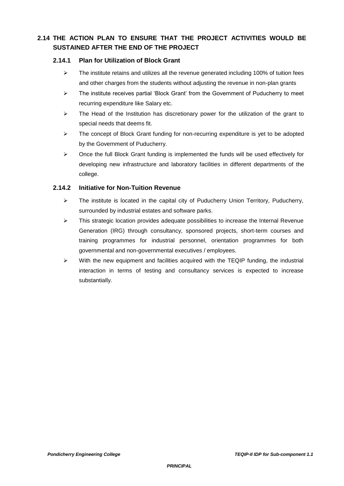### **2.14 THE ACTION PLAN TO ENSURE THAT THE PROJECT ACTIVITIES WOULD BE SUSTAINED AFTER THE END OF THE PROJECT**

#### **2.14.1 Plan for Utilization of Block Grant**

- $\triangleright$  The institute retains and utilizes all the revenue generated including 100% of tuition fees and other charges from the students without adjusting the revenue in non-plan grants
- $\geq$  The institute receives partial 'Block Grant' from the Government of Puducherry to meet recurring expenditure like Salary etc.
- $\geq$  The Head of the Institution has discretionary power for the utilization of the grant to special needs that deems fit.
- $\triangleright$  The concept of Block Grant funding for non-recurring expenditure is yet to be adopted by the Government of Puducherry.
- $\triangleright$  Once the full Block Grant funding is implemented the funds will be used effectively for developing new infrastructure and laboratory facilities in different departments of the college.

#### **2.14.2 Initiative for Non-Tuition Revenue**

- $\triangleright$  The institute is located in the capital city of Puducherry Union Territory, Puducherry, surrounded by industrial estates and software parks.
- $\triangleright$  This strategic location provides adequate possibilities to increase the Internal Revenue Generation (IRG) through consultancy, sponsored projects, short-term courses and training programmes for industrial personnel, orientation programmes for both governmental and non-governmental executives / employees.
- $\triangleright$  With the new equipment and facilities acquired with the TEQIP funding, the industrial interaction in terms of testing and consultancy services is expected to increase substantially.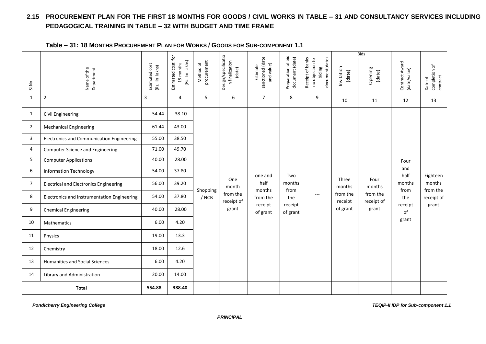### **2.15 PROCUREMENT PLAN FOR THE FIRST 18 MONTHS FOR GOODS / CIVIL WORKS IN TABLE – 31 AND CONSULTANCY SERVICES INCLUDING PEDAGOGICAL TRAINING IN TABLE – 32 WITH BUDGET AND TIME FRAME**

| Table - 31: 18 MONTHS PROCUREMENT PLAN FOR WORKS / GOODS FOR SUB-COMPONENT 1.1 |  |
|--------------------------------------------------------------------------------|--|
|--------------------------------------------------------------------------------|--|

|                |                                                  |                                    | $\overline{\mathsf{p}}$                        |                          |                                                 |                                            |                                       |                                                                 |                      | <b>Bids</b>            |                                |                                      |
|----------------|--------------------------------------------------|------------------------------------|------------------------------------------------|--------------------------|-------------------------------------------------|--------------------------------------------|---------------------------------------|-----------------------------------------------------------------|----------------------|------------------------|--------------------------------|--------------------------------------|
| SI.No.         | Department<br>Name of the                        | Estimated cost<br>(Rs. lin lakhs)  | (Rs. Iin lakhs)<br>Estimated cost<br>18 months | procurement<br>Method of | Design/specificatio<br>n finalization<br>(date) | sanctioned (date<br>and value)<br>Estimate | Preparation of bid<br>document (date) | Receipt of banks<br>document(date)<br>no objection to<br>biding | Invitation<br>(date) | Opening<br>(date)      | Contract Award<br>(date/value) | completion of<br>contract<br>Date of |
| $\mathbf{1}$   | $\overline{2}$                                   | 3<br>5<br>$\overline{7}$<br>6<br>4 |                                                | 8                        | 9                                               | 10                                         | 11                                    | 12                                                              | 13                   |                        |                                |                                      |
| $\mathbf{1}$   | Civil Engineering                                | 54.44                              | 38.10                                          |                          |                                                 |                                            |                                       |                                                                 |                      |                        |                                |                                      |
| 2              | <b>Mechanical Engineering</b>                    | 61.44                              | 43.00                                          |                          |                                                 |                                            |                                       |                                                                 |                      |                        |                                |                                      |
| 3              | <b>Electronics and Communication Engineering</b> | 55.00                              | 38.50                                          |                          |                                                 |                                            |                                       |                                                                 |                      |                        |                                |                                      |
| 4              | <b>Computer Science and Engineering</b>          | 71.00                              | 49.70                                          |                          |                                                 | one and<br>half<br>months                  | Two<br>months                         |                                                                 | Three<br>months      | Four<br>months         |                                | Eighteen<br>months<br>from the       |
| 5              | <b>Computer Applications</b>                     | 40.00                              | 28.00                                          |                          |                                                 |                                            |                                       |                                                                 |                      |                        | Four                           |                                      |
| 6              | <b>Information Technology</b>                    | 54.00                              | 37.80                                          |                          | One<br>month                                    |                                            |                                       |                                                                 |                      |                        | and<br>half                    |                                      |
| $\overline{7}$ | <b>Electrical and Electronics Engineering</b>    | 56.00                              | 39.20                                          |                          |                                                 |                                            |                                       |                                                                 |                      |                        | months<br>from                 |                                      |
| 8              | Electronics and Instrumentation Engineering      | 54.00                              | 37.80                                          | / NCB                    | Shopping<br>from the<br>receipt of              |                                            | from<br>the                           | $\frac{1}{2}$                                                   | from the<br>receipt  | from the<br>receipt of | the                            | receipt of                           |
| 9              | <b>Chemical Engineering</b>                      | 40.00                              | 28.00                                          |                          | grant                                           | receipt<br>of grant                        | receipt<br>of grant                   |                                                                 | of grant             | grant                  | receipt<br>of                  | grant                                |
| 10             | Mathematics                                      | 6.00                               | 4.20                                           |                          |                                                 |                                            |                                       |                                                                 |                      |                        | grant                          |                                      |
| 11             | Physics                                          | 19.00                              | 13.3                                           |                          |                                                 |                                            |                                       |                                                                 |                      |                        |                                |                                      |
| 12             | Chemistry                                        | 18.00                              | 12.6                                           |                          |                                                 |                                            |                                       |                                                                 |                      |                        |                                |                                      |
| 13             | Humanities and Social Sciences                   | 6.00                               | 4.20                                           |                          |                                                 |                                            |                                       |                                                                 |                      |                        |                                |                                      |
| 14             | Library and Administration                       | 20.00                              | 14.00                                          |                          |                                                 |                                            |                                       |                                                                 |                      |                        |                                |                                      |
|                | <b>Total</b>                                     | 554.88                             | 388.40                                         |                          |                                                 |                                            |                                       |                                                                 |                      |                        |                                |                                      |

**Pondicherry Engineering College College Terms** of the Text of Text of the Text of Teqs and *TEQIP-II IDP* for Sub-component 1.1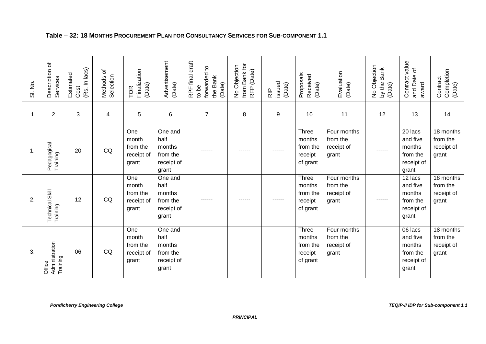| SI. No.     | Description of<br>Services           | (Rs. In lacs)<br>Estimated<br>Cost | Methods of<br>Selection | Finalization<br>(Date)<br>TOR                   | Advertisement<br>(Date)                                      | RPF final draft<br>forwarded to<br>the Bank<br>(Date)<br>to be | from Bank for<br>No Objection<br>RFP (Date) | issued<br>(Date)<br>R <sup>IP</sup> | Proposals<br>Received<br>(Date)                    | Evaluation<br>(Date)                           | No Objection<br>by the Bank<br>(Date) | Contract value<br>and Date of<br>award                           | Completion<br>(Date)<br>Contract             |
|-------------|--------------------------------------|------------------------------------|-------------------------|-------------------------------------------------|--------------------------------------------------------------|----------------------------------------------------------------|---------------------------------------------|-------------------------------------|----------------------------------------------------|------------------------------------------------|---------------------------------------|------------------------------------------------------------------|----------------------------------------------|
| $\mathbf 1$ | $\overline{2}$                       | 3                                  | 4                       | 5                                               | 6                                                            | $\overline{7}$                                                 | 8                                           | 9                                   | 10                                                 | 11                                             | 12                                    | 13                                                               | 14                                           |
| 1.          | Pedagogical<br>Training              | 20                                 | CQ                      | One<br>month<br>from the<br>receipt of<br>grant | One and<br>half<br>months<br>from the<br>receipt of<br>grant | ------                                                         | ------                                      | ------                              | Three<br>months<br>from the<br>receipt<br>of grant | Four months<br>from the<br>receipt of<br>grant | ------                                | 20 lacs<br>and five<br>months<br>from the<br>receipt of<br>grant | 18 months<br>from the<br>receipt of<br>grant |
| 2.          | Technical Skill<br>Training          | 12                                 | CQ                      | One<br>month<br>from the<br>receipt of<br>grant | One and<br>half<br>months<br>from the<br>receipt of<br>grant | ------                                                         | ------                                      | ------                              | Three<br>months<br>from the<br>receipt<br>of grant | Four months<br>from the<br>receipt of<br>grant | ------                                | 12 lacs<br>and five<br>months<br>from the<br>receipt of<br>grant | 18 months<br>from the<br>receipt of<br>grant |
| 3.          | Administration<br>Training<br>Office | 06                                 | CQ                      | One<br>month<br>from the<br>receipt of<br>grant | One and<br>half<br>months<br>from the<br>receipt of<br>grant |                                                                | ------                                      |                                     | Three<br>months<br>from the<br>receipt<br>of grant | Four months<br>from the<br>receipt of<br>grant | ------                                | 06 lacs<br>and five<br>months<br>from the<br>receipt of<br>grant | 18 months<br>from the<br>receipt of<br>grant |

### **Table – 32: 18 MONTHS PROCUREMENT PLAN FOR CONSULTANCY SERVICES FOR SUB-COMPONENT 1.1**